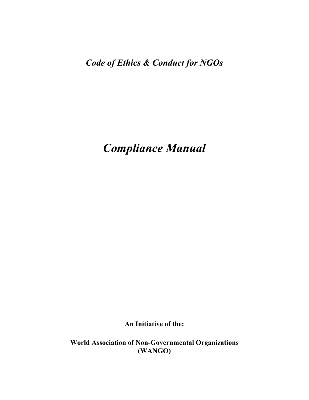*Code of Ethics & Conduct for NGOs* 

*Compliance Manual* 

**An Initiative of the:** 

**World Association of Non-Governmental Organizations (WANGO)**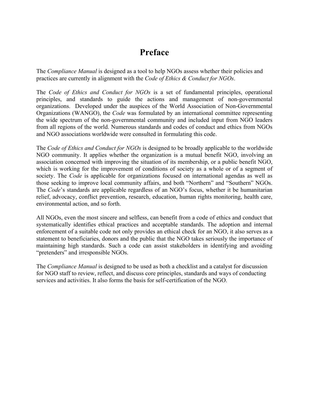## **Preface**

The *Compliance Manual* is designed as a tool to help NGOs assess whether their policies and practices are currently in alignment with the *Code of Ethics & Conduct for NGOs*.

The *Code of Ethics and Conduct for NGOs* is a set of fundamental principles, operational principles, and standards to guide the actions and management of non-governmental organizations. Developed under the auspices of the World Association of Non-Governmental Organizations (WANGO), the *Code* was formulated by an international committee representing the wide spectrum of the non-governmental community and included input from NGO leaders from all regions of the world. Numerous standards and codes of conduct and ethics from NGOs and NGO associations worldwide were consulted in formulating this code.

The *Code of Ethics and Conduct for NGOs* is designed to be broadly applicable to the worldwide NGO community. It applies whether the organization is a mutual benefit NGO, involving an association concerned with improving the situation of its membership, or a public benefit NGO, which is working for the improvement of conditions of society as a whole or of a segment of society. The *Code* is applicable for organizations focused on international agendas as well as those seeking to improve local community affairs, and both "Northern" and "Southern" NGOs. The *Code*'s standards are applicable regardless of an NGO's focus, whether it be humanitarian relief, advocacy, conflict prevention, research, education, human rights monitoring, health care, environmental action, and so forth.

All NGOs, even the most sincere and selfless, can benefit from a code of ethics and conduct that systematically identifies ethical practices and acceptable standards. The adoption and internal enforcement of a suitable code not only provides an ethical check for an NGO, it also serves as a statement to beneficiaries, donors and the public that the NGO takes seriously the importance of maintaining high standards. Such a code can assist stakeholders in identifying and avoiding "pretenders" and irresponsible NGOs.

The *Compliance Manual* is designed to be used as both a checklist and a catalyst for discussion for NGO staff to review, reflect, and discuss core principles, standards and ways of conducting services and activities. It also forms the basis for self-certification of the NGO.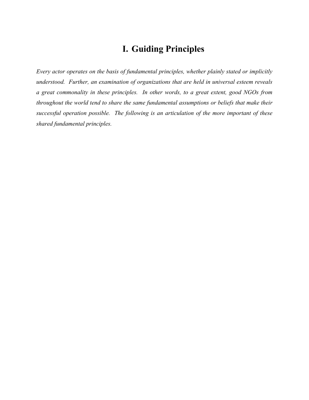## **I. Guiding Principles**

*Every actor operates on the basis of fundamental principles, whether plainly stated or implicitly understood. Further, an examination of organizations that are held in universal esteem reveals a great commonality in these principles. In other words, to a great extent, good NGOs from throughout the world tend to share the same fundamental assumptions or beliefs that make their successful operation possible. The following is an articulation of the more important of these shared fundamental principles.*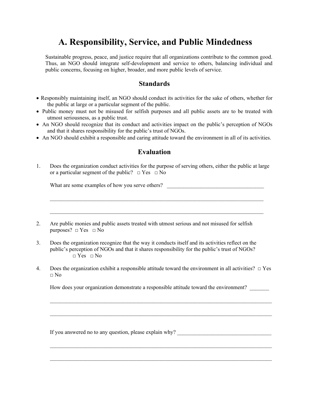# **A. Responsibility, Service, and Public Mindedness**

Sustainable progress, peace, and justice require that all organizations contribute to the common good. Thus, an NGO should integrate self-development and service to others, balancing individual and public concerns, focusing on higher, broader, and more public levels of service.

### **Standards**

- Responsibly maintaining itself, an NGO should conduct its activities for the sake of others, whether for the public at large or a particular segment of the public.
- Public money must not be misused for selfish purposes and all public assets are to be treated with utmost seriousness, as a public trust.
- An NGO should recognize that its conduct and activities impact on the public's perception of NGOs and that it shares responsibility for the public's trust of NGOs.
- An NGO should exhibit a responsible and caring attitude toward the environment in all of its activities.

### **Evaluation**

1. Does the organization conduct activities for the purpose of serving others, either the public at large or a particular segment of the public?  $\Box$  Yes  $\Box$  No

What are some examples of how you serve others?

 $\mathcal{L}_\text{max} = \frac{1}{2} \sum_{i=1}^{n} \frac{1}{2} \sum_{i=1}^{n} \frac{1}{2} \sum_{i=1}^{n} \frac{1}{2} \sum_{i=1}^{n} \frac{1}{2} \sum_{i=1}^{n} \frac{1}{2} \sum_{i=1}^{n} \frac{1}{2} \sum_{i=1}^{n} \frac{1}{2} \sum_{i=1}^{n} \frac{1}{2} \sum_{i=1}^{n} \frac{1}{2} \sum_{i=1}^{n} \frac{1}{2} \sum_{i=1}^{n} \frac{1}{2} \sum_{i=1}^{n} \frac{1$ 

 $\mathcal{L}_\mathcal{L} = \{ \mathcal{L}_\mathcal{L} = \{ \mathcal{L}_\mathcal{L} = \{ \mathcal{L}_\mathcal{L} = \{ \mathcal{L}_\mathcal{L} = \{ \mathcal{L}_\mathcal{L} = \{ \mathcal{L}_\mathcal{L} = \{ \mathcal{L}_\mathcal{L} = \{ \mathcal{L}_\mathcal{L} = \{ \mathcal{L}_\mathcal{L} = \{ \mathcal{L}_\mathcal{L} = \{ \mathcal{L}_\mathcal{L} = \{ \mathcal{L}_\mathcal{L} = \{ \mathcal{L}_\mathcal{L} = \{ \mathcal{L}_\mathcal{$ 

- 2. Are public monies and public assets treated with utmost serious and not misused for selfish purposes?  $\Box$  Yes  $\Box$  No
- 3. Does the organization recognize that the way it conducts itself and its activities reflect on the public's perception of NGOs and that it shares responsibility for the public's trust of NGOs?  $\Box$  Yes  $\Box$  No
- 4. Does the organization exhibit a responsible attitude toward the environment in all activities?  $\Box$  Yes □ No

How does your organization demonstrate a responsible attitude toward the environment? \_\_\_\_\_\_\_

 $\mathcal{L}_\mathcal{L} = \{ \mathcal{L}_\mathcal{L} = \{ \mathcal{L}_\mathcal{L} = \{ \mathcal{L}_\mathcal{L} = \{ \mathcal{L}_\mathcal{L} = \{ \mathcal{L}_\mathcal{L} = \{ \mathcal{L}_\mathcal{L} = \{ \mathcal{L}_\mathcal{L} = \{ \mathcal{L}_\mathcal{L} = \{ \mathcal{L}_\mathcal{L} = \{ \mathcal{L}_\mathcal{L} = \{ \mathcal{L}_\mathcal{L} = \{ \mathcal{L}_\mathcal{L} = \{ \mathcal{L}_\mathcal{L} = \{ \mathcal{L}_\mathcal{$ 

 $\mathcal{L}_\mathcal{L} = \{ \mathcal{L}_\mathcal{L} = \{ \mathcal{L}_\mathcal{L} = \{ \mathcal{L}_\mathcal{L} = \{ \mathcal{L}_\mathcal{L} = \{ \mathcal{L}_\mathcal{L} = \{ \mathcal{L}_\mathcal{L} = \{ \mathcal{L}_\mathcal{L} = \{ \mathcal{L}_\mathcal{L} = \{ \mathcal{L}_\mathcal{L} = \{ \mathcal{L}_\mathcal{L} = \{ \mathcal{L}_\mathcal{L} = \{ \mathcal{L}_\mathcal{L} = \{ \mathcal{L}_\mathcal{L} = \{ \mathcal{L}_\mathcal{$ 

If you answered no to any question, please explain why?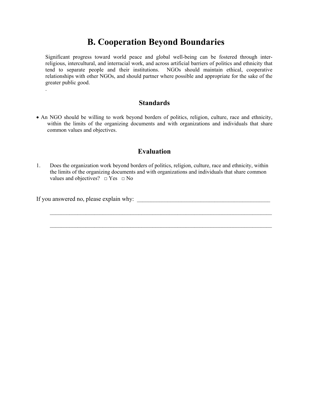## **B. Cooperation Beyond Boundaries**

Significant progress toward world peace and global well-being can be fostered through interreligious, intercultural, and interracial work, and across artificial barriers of politics and ethnicity that tend to separate people and their institutions. NGOs should maintain ethical, cooperative relationships with other NGOs, and should partner where possible and appropriate for the sake of the greater public good.

### **Standards**

• An NGO should be willing to work beyond borders of politics, religion, culture, race and ethnicity, within the limits of the organizing documents and with organizations and individuals that share common values and objectives.

### **Evaluation**

1. Does the organization work beyond borders of politics, religion, culture, race and ethnicity, within the limits of the organizing documents and with organizations and individuals that share common values and objectives?  $\Box$  Yes  $\Box$  No

 $\mathcal{L}_\mathcal{L} = \{ \mathcal{L}_\mathcal{L} = \{ \mathcal{L}_\mathcal{L} = \{ \mathcal{L}_\mathcal{L} = \{ \mathcal{L}_\mathcal{L} = \{ \mathcal{L}_\mathcal{L} = \{ \mathcal{L}_\mathcal{L} = \{ \mathcal{L}_\mathcal{L} = \{ \mathcal{L}_\mathcal{L} = \{ \mathcal{L}_\mathcal{L} = \{ \mathcal{L}_\mathcal{L} = \{ \mathcal{L}_\mathcal{L} = \{ \mathcal{L}_\mathcal{L} = \{ \mathcal{L}_\mathcal{L} = \{ \mathcal{L}_\mathcal{$ 

 $\mathcal{L}_\text{max} = \frac{1}{2} \sum_{i=1}^{n} \frac{1}{2} \sum_{i=1}^{n} \frac{1}{2} \sum_{i=1}^{n} \frac{1}{2} \sum_{i=1}^{n} \frac{1}{2} \sum_{i=1}^{n} \frac{1}{2} \sum_{i=1}^{n} \frac{1}{2} \sum_{i=1}^{n} \frac{1}{2} \sum_{i=1}^{n} \frac{1}{2} \sum_{i=1}^{n} \frac{1}{2} \sum_{i=1}^{n} \frac{1}{2} \sum_{i=1}^{n} \frac{1}{2} \sum_{i=1}^{n} \frac{1$ 

If you answered no, please explain why:

.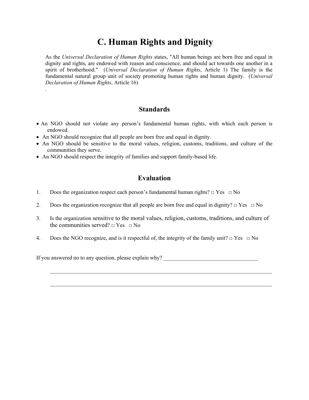# **C. Human Rights and Dignity**

As the *Universal Declaration of Human Rights* states, "All human beings are born free and equal in dignity and rights, are endowed with reason and conscience, and should act towards one another in a spirit of brotherhood." (*Universal Declaration of Human Rights*, Article 1) The family is the fundamental natural group unit of society promoting human rights and human dignity. (*Universal Declaration of Human Rights*, Article 16)

### **Standards**

- An NGO should not violate any person's fundamental human rights, with which each person is endowed.
- An NGO should recognize that all people are born free and equal in dignity.

.

- An NGO should be sensitive to the moral values, religion, customs, traditions, and culture of the communities they serve.
- An NGO should respect the integrity of families and support family-based life.

### **Evaluation**

- 1. Does the organization respect each person's fundamental human rights?  $\Box$  Yes  $\Box$  No
- 2. Does the organization recognize that all people are born free and equal in dignity?  $\Box$  Yes  $\Box$  No
- 3. Is the organization sensitive to the moral values, religion, customs, traditions, and culture of the communities served?  $\Box$  Yes  $\Box$  No
- 4. Does the NGO recognize, and is it respectful of, the integrity of the family unit?  $\Box$  Yes  $\Box$  No

If you answered no to any question, please explain why? \_\_\_\_\_\_\_\_\_\_\_\_\_\_\_\_\_\_\_\_\_\_\_\_\_\_\_\_\_\_\_\_\_\_

 $\mathcal{L}_\mathcal{L} = \{ \mathcal{L}_\mathcal{L} = \{ \mathcal{L}_\mathcal{L} = \{ \mathcal{L}_\mathcal{L} = \{ \mathcal{L}_\mathcal{L} = \{ \mathcal{L}_\mathcal{L} = \{ \mathcal{L}_\mathcal{L} = \{ \mathcal{L}_\mathcal{L} = \{ \mathcal{L}_\mathcal{L} = \{ \mathcal{L}_\mathcal{L} = \{ \mathcal{L}_\mathcal{L} = \{ \mathcal{L}_\mathcal{L} = \{ \mathcal{L}_\mathcal{L} = \{ \mathcal{L}_\mathcal{L} = \{ \mathcal{L}_\mathcal{$ 

 $\mathcal{L}_\mathcal{L} = \{ \mathcal{L}_\mathcal{L} = \{ \mathcal{L}_\mathcal{L} = \{ \mathcal{L}_\mathcal{L} = \{ \mathcal{L}_\mathcal{L} = \{ \mathcal{L}_\mathcal{L} = \{ \mathcal{L}_\mathcal{L} = \{ \mathcal{L}_\mathcal{L} = \{ \mathcal{L}_\mathcal{L} = \{ \mathcal{L}_\mathcal{L} = \{ \mathcal{L}_\mathcal{L} = \{ \mathcal{L}_\mathcal{L} = \{ \mathcal{L}_\mathcal{L} = \{ \mathcal{L}_\mathcal{L} = \{ \mathcal{L}_\mathcal{$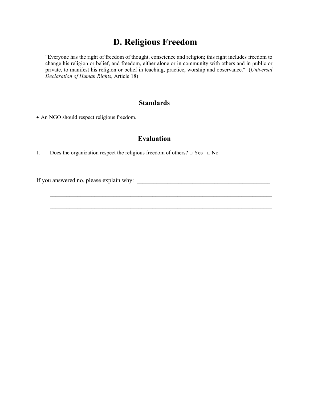## **D. Religious Freedom**

"Everyone has the right of freedom of thought, conscience and religion; this right includes freedom to change his religion or belief, and freedom, either alone or in community with others and in public or private, to manifest his religion or belief in teaching, practice, worship and observance." (*Universal Declaration of Human Rights*, Article 18) .

### **Standards**

• An NGO should respect religious freedom.

### **Evaluation**

 $\mathcal{L}_\mathcal{L} = \{ \mathcal{L}_\mathcal{L} = \{ \mathcal{L}_\mathcal{L} = \{ \mathcal{L}_\mathcal{L} = \{ \mathcal{L}_\mathcal{L} = \{ \mathcal{L}_\mathcal{L} = \{ \mathcal{L}_\mathcal{L} = \{ \mathcal{L}_\mathcal{L} = \{ \mathcal{L}_\mathcal{L} = \{ \mathcal{L}_\mathcal{L} = \{ \mathcal{L}_\mathcal{L} = \{ \mathcal{L}_\mathcal{L} = \{ \mathcal{L}_\mathcal{L} = \{ \mathcal{L}_\mathcal{L} = \{ \mathcal{L}_\mathcal{$ 

 $\mathcal{L}_\mathcal{L} = \{ \mathcal{L}_\mathcal{L} = \{ \mathcal{L}_\mathcal{L} = \{ \mathcal{L}_\mathcal{L} = \{ \mathcal{L}_\mathcal{L} = \{ \mathcal{L}_\mathcal{L} = \{ \mathcal{L}_\mathcal{L} = \{ \mathcal{L}_\mathcal{L} = \{ \mathcal{L}_\mathcal{L} = \{ \mathcal{L}_\mathcal{L} = \{ \mathcal{L}_\mathcal{L} = \{ \mathcal{L}_\mathcal{L} = \{ \mathcal{L}_\mathcal{L} = \{ \mathcal{L}_\mathcal{L} = \{ \mathcal{L}_\mathcal{$ 

1. Does the organization respect the religious freedom of others?  $\Box$  Yes  $\Box$  No

If you answered no, please explain why: \_\_\_\_\_\_\_\_\_\_\_\_\_\_\_\_\_\_\_\_\_\_\_\_\_\_\_\_\_\_\_\_\_\_\_\_\_\_\_\_\_\_\_\_\_\_\_\_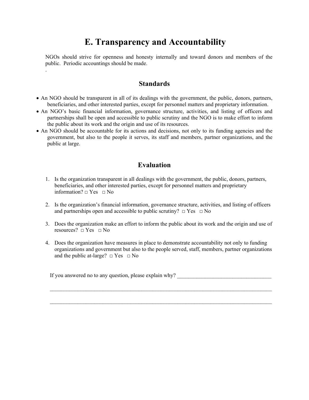## **E. Transparency and Accountability**

NGOs should strive for openness and honesty internally and toward donors and members of the public. Periodic accountings should be made.

### **Standards**

.

- An NGO should be transparent in all of its dealings with the government, the public, donors, partners, beneficiaries, and other interested parties, except for personnel matters and proprietary information.
- An NGO's basic financial information, governance structure, activities, and listing of officers and partnerships shall be open and accessible to public scrutiny and the NGO is to make effort to inform the public about its work and the origin and use of its resources.
- An NGO should be accountable for its actions and decisions, not only to its funding agencies and the government, but also to the people it serves, its staff and members, partner organizations, and the public at large.

### **Evaluation**

- 1. Is the organization transparent in all dealings with the government, the public, donors, partners, beneficiaries, and other interested parties, except for personnel matters and proprietary information?  $\Box$  Yes  $\Box$  No
- 2. Is the organization's financial information, governance structure, activities, and listing of officers and partnerships open and accessible to public scrutiny?  $\Box$  Yes  $\Box$  No
- 3. Does the organization make an effort to inform the public about its work and the origin and use of resources?  $\Box$  Yes  $\Box$  No
- 4. Does the organization have measures in place to demonstrate accountability not only to funding organizations and government but also to the people served, staff, members, partner organizations and the public at-large?  $\Box$  Yes  $\Box$  No

If you answered no to any question, please explain why? \_\_\_\_\_\_\_\_\_\_\_\_\_\_\_\_\_\_\_\_\_\_\_\_\_\_\_\_\_\_\_\_\_\_

 $\mathcal{L}_\mathcal{L} = \{ \mathcal{L}_\mathcal{L} = \{ \mathcal{L}_\mathcal{L} = \{ \mathcal{L}_\mathcal{L} = \{ \mathcal{L}_\mathcal{L} = \{ \mathcal{L}_\mathcal{L} = \{ \mathcal{L}_\mathcal{L} = \{ \mathcal{L}_\mathcal{L} = \{ \mathcal{L}_\mathcal{L} = \{ \mathcal{L}_\mathcal{L} = \{ \mathcal{L}_\mathcal{L} = \{ \mathcal{L}_\mathcal{L} = \{ \mathcal{L}_\mathcal{L} = \{ \mathcal{L}_\mathcal{L} = \{ \mathcal{L}_\mathcal{$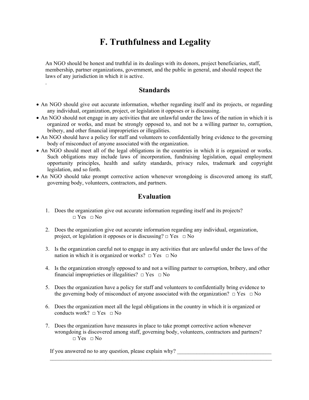# **F. Truthfulness and Legality**

An NGO should be honest and truthful in its dealings with its donors, project beneficiaries, staff, membership, partner organizations, government, and the public in general, and should respect the laws of any jurisdiction in which it is active.

### **Standards**

.

- An NGO should give out accurate information, whether regarding itself and its projects, or regarding any individual, organization, project, or legislation it opposes or is discussing.
- An NGO should not engage in any activities that are unlawful under the laws of the nation in which it is organized or works, and must be strongly opposed to, and not be a willing partner to, corruption, bribery, and other financial improprieties or illegalities.
- An NGO should have a policy for staff and volunteers to confidentially bring evidence to the governing body of misconduct of anyone associated with the organization.
- An NGO should meet all of the legal obligations in the countries in which it is organized or works. Such obligations may include laws of incorporation, fundraising legislation, equal employment opportunity principles, health and safety standards, privacy rules, trademark and copyright legislation, and so forth.
- An NGO should take prompt corrective action whenever wrongdoing is discovered among its staff, governing body, volunteers, contractors, and partners.

### **Evaluation**

- 1. Does the organization give out accurate information regarding itself and its projects?  $\Box$  Yes  $\Box$  No
- 2. Does the organization give out accurate information regarding any individual, organization, project, or legislation it opposes or is discussing?  $\Box$  Yes  $\Box$  No
- 3. Is the organization careful not to engage in any activities that are unlawful under the laws of the nation in which it is organized or works?  $\Box$  Yes  $\Box$  No
- 4. Is the organization strongly opposed to and not a willing partner to corruption, bribery, and other financial improprieties or illegalities?  $\Box$  Yes  $\Box$  No
- 5. Does the organization have a policy for staff and volunteers to confidentially bring evidence to the governing body of misconduct of anyone associated with the organization?  $\Box$  Yes  $\Box$  No
- 6. Does the organization meet all the legal obligations in the country in which it is organized or conducts work?  $\Box$  Yes  $\Box$  No
- 7. Does the organization have measures in place to take prompt corrective action whenever wrongdoing is discovered among staff, governing body, volunteers, contractors and partners?  $\Box$  Yes  $\Box$  No

 $\mathcal{L}_\mathcal{L} = \{ \mathcal{L}_\mathcal{L} = \{ \mathcal{L}_\mathcal{L} = \{ \mathcal{L}_\mathcal{L} = \{ \mathcal{L}_\mathcal{L} = \{ \mathcal{L}_\mathcal{L} = \{ \mathcal{L}_\mathcal{L} = \{ \mathcal{L}_\mathcal{L} = \{ \mathcal{L}_\mathcal{L} = \{ \mathcal{L}_\mathcal{L} = \{ \mathcal{L}_\mathcal{L} = \{ \mathcal{L}_\mathcal{L} = \{ \mathcal{L}_\mathcal{L} = \{ \mathcal{L}_\mathcal{L} = \{ \mathcal{L}_\mathcal{$ 

If you answered no to any question, please explain why?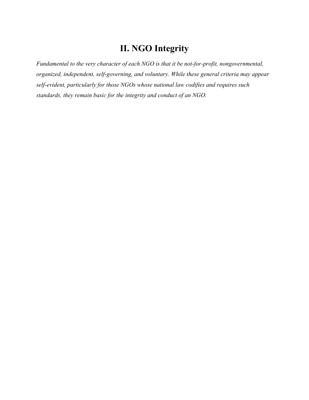## **II. NGO Integrity**

*Fundamental to the very character of each NGO is that it be not-for-profit, nongovernmental, organized, independent, self-governing, and voluntary. While these general criteria may appear self-evident, particularly for those NGOs whose national law codifies and requires such standards, they remain basic for the integrity and conduct of an NGO.*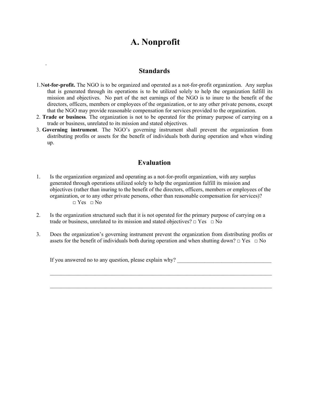## **A. Nonprofit**

### **Standards**

.

- 1.N**ot-for-profit.** The NGO is to be organized and operated as a not-for-profit organization. Any surplus that is generated through its operations is to be utilized solely to help the organization fulfill its mission and objectives. No part of the net earnings of the NGO is to inure to the benefit of the directors, officers, members or employees of the organization, or to any other private persons, except that the NGO may provide reasonable compensation for services provided to the organization.
- 2. **Trade or business***.* The organization is not to be operated for the primary purpose of carrying on a trade or business, unrelated to its mission and stated objectives.
- 3. **Governing instrument**. The NGO's governing instrument shall prevent the organization from distributing profits or assets for the benefit of individuals both during operation and when winding up.

### **Evaluation**

- 1. Is the organization organized and operating as a not-for-profit organization, with any surplus generated through operations utilized solely to help the organization fulfill its mission and objectives (rather than inuring to the benefit of the directors, officers, members or employees of the organization, or to any other private persons, other than reasonable compensation for services)?  $\Box$  Yes  $\Box$  No
- 2. Is the organization structured such that it is not operated for the primary purpose of carrying on a trade or business, unrelated to its mission and stated objectives?  $\Box$  Yes  $\Box$  No
- 3. Does the organization's governing instrument prevent the organization from distributing profits or assets for the benefit of individuals both during operation and when shutting down?  $\Box$  Yes  $\Box$  No

If you answered no to any question, please explain why? \_\_\_\_\_\_\_\_\_\_\_\_\_\_\_\_\_\_\_\_\_\_\_\_\_\_\_\_\_\_\_\_\_\_

 $\mathcal{L}_\mathcal{L} = \{ \mathcal{L}_\mathcal{L} = \{ \mathcal{L}_\mathcal{L} = \{ \mathcal{L}_\mathcal{L} = \{ \mathcal{L}_\mathcal{L} = \{ \mathcal{L}_\mathcal{L} = \{ \mathcal{L}_\mathcal{L} = \{ \mathcal{L}_\mathcal{L} = \{ \mathcal{L}_\mathcal{L} = \{ \mathcal{L}_\mathcal{L} = \{ \mathcal{L}_\mathcal{L} = \{ \mathcal{L}_\mathcal{L} = \{ \mathcal{L}_\mathcal{L} = \{ \mathcal{L}_\mathcal{L} = \{ \mathcal{L}_\mathcal{$ 

 $\mathcal{L}_\mathcal{L} = \{ \mathcal{L}_\mathcal{L} = \{ \mathcal{L}_\mathcal{L} = \{ \mathcal{L}_\mathcal{L} = \{ \mathcal{L}_\mathcal{L} = \{ \mathcal{L}_\mathcal{L} = \{ \mathcal{L}_\mathcal{L} = \{ \mathcal{L}_\mathcal{L} = \{ \mathcal{L}_\mathcal{L} = \{ \mathcal{L}_\mathcal{L} = \{ \mathcal{L}_\mathcal{L} = \{ \mathcal{L}_\mathcal{L} = \{ \mathcal{L}_\mathcal{L} = \{ \mathcal{L}_\mathcal{L} = \{ \mathcal{L}_\mathcal{$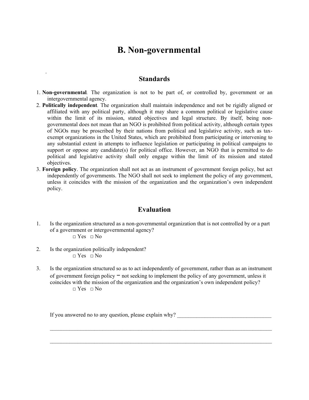## **B. Non-governmental**

### **Standards**

- 1. **Non-governmental***.* The organization is not to be part of, or controlled by, government or an intergovernmental agency.
- 2. **Politically independent***.* The organization shall maintain independence and not be rigidly aligned or affiliated with any political party, although it may share a common political or legislative cause within the limit of its mission, stated objectives and legal structure. By itself, being nongovernmental does not mean that an NGO is prohibited from political activity, although certain types of NGOs may be proscribed by their nations from political and legislative activity, such as taxexempt organizations in the United States, which are prohibited from participating or intervening to any substantial extent in attempts to influence legislation or participating in political campaigns to support or oppose any candidate(s) for political office. However, an NGO that is permitted to do political and legislative activity shall only engage within the limit of its mission and stated objectives.
- 3. **Foreign policy**. The organization shall not act as an instrument of government foreign policy, but act independently of governments. The NGO shall not seek to implement the policy of any government, unless it coincides with the mission of the organization and the organization's own independent policy.

### **Evaluation**

- 1. Is the organization structured as a non-governmental organization that is not controlled by or a part of a government or intergovernmental agency?
	- $\neg$  Yes  $\neg$  No

.

- 2. Is the organization politically independent?  $\Box$  Yes  $\Box$  No
- 3. Is the organization structured so as to act independently of government, rather than as an instrument of government foreign policy − not seeking to implement the policy of any government, unless it coincides with the mission of the organization and the organization's own independent policy?  $\Box$  Yes  $\Box$  No

 $\mathcal{L}_\mathcal{L} = \{ \mathcal{L}_\mathcal{L} = \{ \mathcal{L}_\mathcal{L} = \{ \mathcal{L}_\mathcal{L} = \{ \mathcal{L}_\mathcal{L} = \{ \mathcal{L}_\mathcal{L} = \{ \mathcal{L}_\mathcal{L} = \{ \mathcal{L}_\mathcal{L} = \{ \mathcal{L}_\mathcal{L} = \{ \mathcal{L}_\mathcal{L} = \{ \mathcal{L}_\mathcal{L} = \{ \mathcal{L}_\mathcal{L} = \{ \mathcal{L}_\mathcal{L} = \{ \mathcal{L}_\mathcal{L} = \{ \mathcal{L}_\mathcal{$ 

 $\mathcal{L}_\text{max} = \frac{1}{2} \sum_{i=1}^{n} \frac{1}{2} \sum_{i=1}^{n} \frac{1}{2} \sum_{i=1}^{n} \frac{1}{2} \sum_{i=1}^{n} \frac{1}{2} \sum_{i=1}^{n} \frac{1}{2} \sum_{i=1}^{n} \frac{1}{2} \sum_{i=1}^{n} \frac{1}{2} \sum_{i=1}^{n} \frac{1}{2} \sum_{i=1}^{n} \frac{1}{2} \sum_{i=1}^{n} \frac{1}{2} \sum_{i=1}^{n} \frac{1}{2} \sum_{i=1}^{n} \frac{1$ 

If you answered no to any question, please explain why?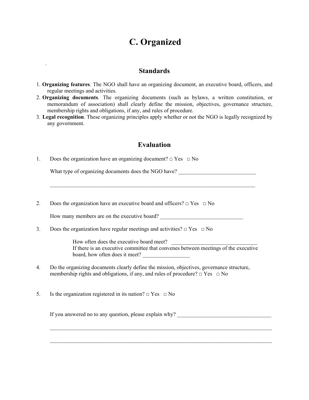# **C. Organized**

### **Standards**

- 1. **Organizing features***.* The NGO shall have an organizing document, an executive board, officers, and regular meetings and activities.
- 2. **Organizing documents***.* The organizing documents (such as bylaws, a written constitution, or memorandum of association) shall clearly define the mission, objectives, governance structure, membership rights and obligations, if any, and rules of procedure.
- 3. **Legal recognition**. These organizing principles apply whether or not the NGO is legally recognized by any government.

### **Evaluation**

1. Does the organization have an organizing document?  $\Box$  Yes  $\Box$  No

.

What type of organizing documents does the NGO have? \_\_\_\_\_\_\_\_\_\_\_\_\_\_\_\_\_\_\_\_\_\_\_\_\_\_\_

2. Does the organization have an executive board and officers?  $\Box$  Yes  $\Box$  No

How many members are on the executive board?

 $\mathcal{L}_\text{max} = \frac{1}{2} \sum_{i=1}^n \mathcal{L}_\text{max}(\mathbf{z}_i - \mathbf{z}_i)$ 

3. Does the organization have regular meetings and activities?  $\Box$  Yes  $\Box$  No

How often does the executive board meet? If there is an executive committee that convenes between meetings of the executive board, how often does it meet?

4. Do the organizing documents clearly define the mission, objectives, governance structure, membership rights and obligations, if any, and rules of procedure?  $\Box$  Yes  $\Box$  No

 $\mathcal{L}_\mathcal{L} = \{ \mathcal{L}_\mathcal{L} = \{ \mathcal{L}_\mathcal{L} = \{ \mathcal{L}_\mathcal{L} = \{ \mathcal{L}_\mathcal{L} = \{ \mathcal{L}_\mathcal{L} = \{ \mathcal{L}_\mathcal{L} = \{ \mathcal{L}_\mathcal{L} = \{ \mathcal{L}_\mathcal{L} = \{ \mathcal{L}_\mathcal{L} = \{ \mathcal{L}_\mathcal{L} = \{ \mathcal{L}_\mathcal{L} = \{ \mathcal{L}_\mathcal{L} = \{ \mathcal{L}_\mathcal{L} = \{ \mathcal{L}_\mathcal{$ 

 $\mathcal{L}_\text{max} = \frac{1}{2} \sum_{i=1}^{n} \frac{1}{2} \sum_{i=1}^{n} \frac{1}{2} \sum_{i=1}^{n} \frac{1}{2} \sum_{i=1}^{n} \frac{1}{2} \sum_{i=1}^{n} \frac{1}{2} \sum_{i=1}^{n} \frac{1}{2} \sum_{i=1}^{n} \frac{1}{2} \sum_{i=1}^{n} \frac{1}{2} \sum_{i=1}^{n} \frac{1}{2} \sum_{i=1}^{n} \frac{1}{2} \sum_{i=1}^{n} \frac{1}{2} \sum_{i=1}^{n} \frac{1$ 

5. Is the organization registered in its nation?  $\Box$  Yes  $\Box$  No

If you answered no to any question, please explain why?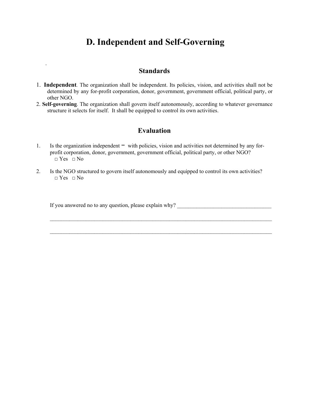## **D. Independent and Self-Governing**

### **Standards**

- 1. **Independent***.* The organization shall be independent. Its policies, vision, and activities shall not be determined by any for-profit corporation, donor, government, government official, political party, or other NGO.
- 2. **Self-governing***.* The organization shall govern itself autonomously, according to whatever governance structure it selects for itself. It shall be equipped to control its own activities.

### **Evaluation**

- 1. Is the organization independent − with policies, vision and activities not determined by any forprofit corporation, donor, government, government official, political party, or other NGO? □ Yes □ No
- 2. Is the NGO structured to govern itself autonomously and equipped to control its own activities?  $\neg$  Yes  $\neg$  No

 $\mathcal{L}_\text{max} = \frac{1}{2} \sum_{i=1}^{n} \frac{1}{2} \sum_{i=1}^{n} \frac{1}{2} \sum_{i=1}^{n} \frac{1}{2} \sum_{i=1}^{n} \frac{1}{2} \sum_{i=1}^{n} \frac{1}{2} \sum_{i=1}^{n} \frac{1}{2} \sum_{i=1}^{n} \frac{1}{2} \sum_{i=1}^{n} \frac{1}{2} \sum_{i=1}^{n} \frac{1}{2} \sum_{i=1}^{n} \frac{1}{2} \sum_{i=1}^{n} \frac{1}{2} \sum_{i=1}^{n} \frac{1$ 

 $\mathcal{L}_\mathcal{L} = \{ \mathcal{L}_\mathcal{L} = \{ \mathcal{L}_\mathcal{L} = \{ \mathcal{L}_\mathcal{L} = \{ \mathcal{L}_\mathcal{L} = \{ \mathcal{L}_\mathcal{L} = \{ \mathcal{L}_\mathcal{L} = \{ \mathcal{L}_\mathcal{L} = \{ \mathcal{L}_\mathcal{L} = \{ \mathcal{L}_\mathcal{L} = \{ \mathcal{L}_\mathcal{L} = \{ \mathcal{L}_\mathcal{L} = \{ \mathcal{L}_\mathcal{L} = \{ \mathcal{L}_\mathcal{L} = \{ \mathcal{L}_\mathcal{$ 

If you answered no to any question, please explain why? \_\_\_\_\_\_\_\_\_\_\_\_\_\_\_\_\_\_\_\_\_\_\_\_\_\_\_\_\_\_\_\_\_\_

.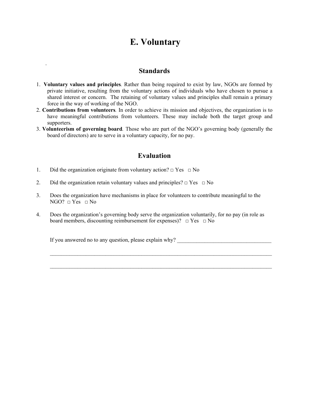## **E. Voluntary**

### **Standards**

- 1. **Voluntary values and principles***.* Rather than being required to exist by law, NGOs are formed by private initiative, resulting from the voluntary actions of individuals who have chosen to pursue a shared interest or concern. The retaining of voluntary values and principles shall remain a primary force in the way of working of the NGO.
- 2. **Contributions from volunteers***.* In order to achieve its mission and objectives, the organization is to have meaningful contributions from volunteers. These may include both the target group and supporters.
- 3. **Volunteerism of governing board***.* Those who are part of the NGO's governing body (generally the board of directors) are to serve in a voluntary capacity, for no pay.

### **Evaluation**

1. Did the organization originate from voluntary action?  $\Box$  Yes  $\Box$  No

.

- 2. Did the organization retain voluntary values and principles?  $\Box$  Yes  $\Box$  No
- 3. Does the organization have mechanisms in place for volunteers to contribute meaningful to the  $NGO? \Box Yes \Box No$
- 4. Does the organization's governing body serve the organization voluntarily, for no pay (in role as board members, discounting reimbursement for expenses)?  $\Box$  Yes  $\Box$  No

 $\mathcal{L}=\frac{1}{2}$  , where  $\mathcal{L}=\frac{1}{2}$  , where  $\mathcal{L}=\frac{1}{2}$  , where  $\mathcal{L}=\frac{1}{2}$  , where  $\mathcal{L}=\frac{1}{2}$ 

 $\mathcal{L}_\mathcal{L} = \{ \mathcal{L}_\mathcal{L} = \{ \mathcal{L}_\mathcal{L} = \{ \mathcal{L}_\mathcal{L} = \{ \mathcal{L}_\mathcal{L} = \{ \mathcal{L}_\mathcal{L} = \{ \mathcal{L}_\mathcal{L} = \{ \mathcal{L}_\mathcal{L} = \{ \mathcal{L}_\mathcal{L} = \{ \mathcal{L}_\mathcal{L} = \{ \mathcal{L}_\mathcal{L} = \{ \mathcal{L}_\mathcal{L} = \{ \mathcal{L}_\mathcal{L} = \{ \mathcal{L}_\mathcal{L} = \{ \mathcal{L}_\mathcal{$ 

If you answered no to any question, please explain why?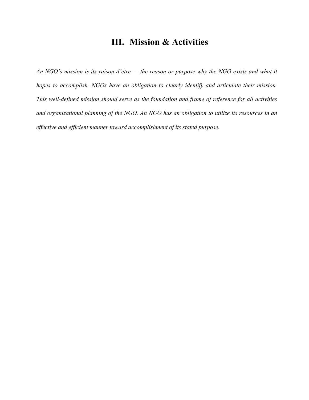## **III. Mission & Activities**

*An NGO's mission is its raison d'etre — the reason or purpose why the NGO exists and what it hopes to accomplish. NGOs have an obligation to clearly identify and articulate their mission. This well-defined mission should serve as the foundation and frame of reference for all activities and organizational planning of the NGO. An NGO has an obligation to utilize its resources in an effective and efficient manner toward accomplishment of its stated purpose.*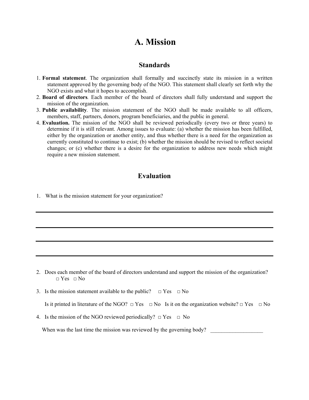## **A. Mission**

### **Standards**

- 1. **Formal statement**. The organization shall formally and succinctly state its mission in a written statement approved by the governing body of the NGO. This statement shall clearly set forth why the NGO exists and what it hopes to accomplish.
- 2. **Board of directors***.* Each member of the board of directors shall fully understand and support the mission of the organization.
- 3. **Public availability***.* The mission statement of the NGO shall be made available to all officers, members, staff, partners, donors, program beneficiaries, and the public in general.
- 4. **Evaluation.** The mission of the NGO shall be reviewed periodically (every two or three years) to determine if it is still relevant. Among issues to evaluate: (a) whether the mission has been fulfilled, either by the organization or another entity, and thus whether there is a need for the organization as currently constituted to continue to exist; (b) whether the mission should be revised to reflect societal changes; or (c) whether there is a desire for the organization to address new needs which might require a new mission statement.

### **Evaluation**

1. What is the mission statement for your organization?

- 2. Does each member of the board of directors understand and support the mission of the organization?  $\neg$  Yes  $\neg$  No
- 3. Is the mission statement available to the public?  $\Box$  Yes  $\Box$  No

Is it printed in literature of the NGO?  $\Box$  Yes  $\Box$  No Is it on the organization website?  $\Box$  Yes  $\Box$  No

4. Is the mission of the NGO reviewed periodically?  $\Box$  Yes  $\Box$  No

When was the last time the mission was reviewed by the governing body?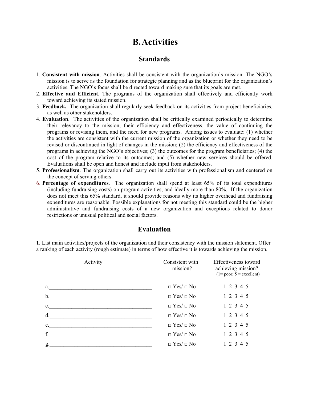# **B.Activities**

### **Standards**

- 1. **Consistent with mission**. Activities shall be consistent with the organization's mission. The NGO's mission is to serve as the foundation for strategic planning and as the blueprint for the organization's activities. The NGO's focus shall be directed toward making sure that its goals are met.
- 2. **Effective and Efficient**. The programs of the organization shall effectively and efficiently work toward achieving its stated mission.
- 3. **Feedback.** The organization shall regularly seek feedback on its activities from project beneficiaries, as well as other stakeholders.
- 4. **Evaluation**. The activities of the organization shall be critically examined periodically to determine their relevancy to the mission, their efficiency and effectiveness, the value of continuing the programs or revising them, and the need for new programs. Among issues to evaluate: (1) whether the activities are consistent with the current mission of the organization or whether they need to be revised or discontinued in light of changes in the mission; (2) the efficiency and effectiveness of the programs in achieving the NGO's objectives; (3) the outcomes for the program beneficiaries; (4) the cost of the program relative to its outcomes; and (5) whether new services should be offered. Evaluations shall be open and honest and include input from stakeholders.
- 5. **Professionalism**. The organization shall carry out its activities with professionalism and centered on the concept of serving others.
- 6. **Percentage of expenditures**. The organization shall spend at least 65% of its total expenditures (including fundraising costs) on program activities, and ideally more than 80%. If the organization does not meet this 65% standard, it should provide reasons why its higher overhead and fundraising expenditures are reasonable. Possible explanations for not meeting this standard could be the higher administrative and fundraising costs of a new organization and exceptions related to donor restrictions or unusual political and social factors.

### **Evaluation**

**1.** List main activities/projects of the organization and their consistency with the mission statement. Offer a ranking of each activity (rough estimate) in terms of how effective it is towards achieving the mission.

| Activity       | Consistent with<br>mission? | Effectiveness toward<br>achieving mission?<br>$(1 = poor; 5 = excellent)$ |
|----------------|-----------------------------|---------------------------------------------------------------------------|
| a.             | $\Box$ Yes/ $\Box$ No       | 1 2 3 4 5                                                                 |
| b.             | $\Box$ Yes/ $\Box$ No       | 1 2 3 4 5                                                                 |
| $\mathbf{c}$ . | $\Box$ Yes/ $\Box$ No       | 1 2 3 4 5                                                                 |
| d.             | $\Box$ Yes/ $\Box$ No       | 1 2 3 4 5                                                                 |
| e.             | $\Box$ Yes/ $\Box$ No       | 1 2 3 4 5                                                                 |
| f.             | $\Box$ Yes/ $\Box$ No       | 1 2 3 4 5                                                                 |
| g.             | $\Box$ Yes/ $\Box$ No       | 1 2 3 4 5                                                                 |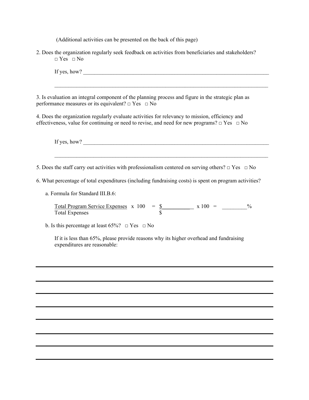(Additional activities can be presented on the back of this page)

2. Does the organization regularly seek feedback on activities from beneficiaries and stakeholders?  $\Box$  Yes  $\Box$  No

| 4. Does the organization regularly evaluate activities for relevancy to mission, efficiency and<br>effectiveness, value for continuing or need to revise, and need for new programs? $\Box$ Yes $\Box$ No<br>If yes, how? $\qquad \qquad$<br>5. Does the staff carry out activities with professionalism centered on serving others? $\Box$ Yes $\Box$ No<br>6. What percentage of total expenditures (including fundraising costs) is spent on program activities?<br>a. Formula for Standard III.B.6:<br><u>Total Program Service Expenses</u> $x 100 = $ <u>\$</u> $x 100 = $<br>$\frac{0}{0}$<br><b>Total Expenses</b><br>b. Is this percentage at least 65%? $\Box$ Yes $\Box$ No<br>If it is less than 65%, please provide reasons why its higher overhead and fundraising<br>expenditures are reasonable: | If yes, how?                                                                                                                                                       |
|------------------------------------------------------------------------------------------------------------------------------------------------------------------------------------------------------------------------------------------------------------------------------------------------------------------------------------------------------------------------------------------------------------------------------------------------------------------------------------------------------------------------------------------------------------------------------------------------------------------------------------------------------------------------------------------------------------------------------------------------------------------------------------------------------------------|--------------------------------------------------------------------------------------------------------------------------------------------------------------------|
|                                                                                                                                                                                                                                                                                                                                                                                                                                                                                                                                                                                                                                                                                                                                                                                                                  | 3. Is evaluation an integral component of the planning process and figure in the strategic plan as<br>performance measures or its equivalent? $\Box$ Yes $\Box$ No |
|                                                                                                                                                                                                                                                                                                                                                                                                                                                                                                                                                                                                                                                                                                                                                                                                                  |                                                                                                                                                                    |
|                                                                                                                                                                                                                                                                                                                                                                                                                                                                                                                                                                                                                                                                                                                                                                                                                  |                                                                                                                                                                    |
|                                                                                                                                                                                                                                                                                                                                                                                                                                                                                                                                                                                                                                                                                                                                                                                                                  |                                                                                                                                                                    |
|                                                                                                                                                                                                                                                                                                                                                                                                                                                                                                                                                                                                                                                                                                                                                                                                                  |                                                                                                                                                                    |
|                                                                                                                                                                                                                                                                                                                                                                                                                                                                                                                                                                                                                                                                                                                                                                                                                  |                                                                                                                                                                    |
|                                                                                                                                                                                                                                                                                                                                                                                                                                                                                                                                                                                                                                                                                                                                                                                                                  |                                                                                                                                                                    |
|                                                                                                                                                                                                                                                                                                                                                                                                                                                                                                                                                                                                                                                                                                                                                                                                                  |                                                                                                                                                                    |
|                                                                                                                                                                                                                                                                                                                                                                                                                                                                                                                                                                                                                                                                                                                                                                                                                  |                                                                                                                                                                    |
|                                                                                                                                                                                                                                                                                                                                                                                                                                                                                                                                                                                                                                                                                                                                                                                                                  |                                                                                                                                                                    |
|                                                                                                                                                                                                                                                                                                                                                                                                                                                                                                                                                                                                                                                                                                                                                                                                                  |                                                                                                                                                                    |
|                                                                                                                                                                                                                                                                                                                                                                                                                                                                                                                                                                                                                                                                                                                                                                                                                  |                                                                                                                                                                    |
|                                                                                                                                                                                                                                                                                                                                                                                                                                                                                                                                                                                                                                                                                                                                                                                                                  |                                                                                                                                                                    |
|                                                                                                                                                                                                                                                                                                                                                                                                                                                                                                                                                                                                                                                                                                                                                                                                                  |                                                                                                                                                                    |
|                                                                                                                                                                                                                                                                                                                                                                                                                                                                                                                                                                                                                                                                                                                                                                                                                  |                                                                                                                                                                    |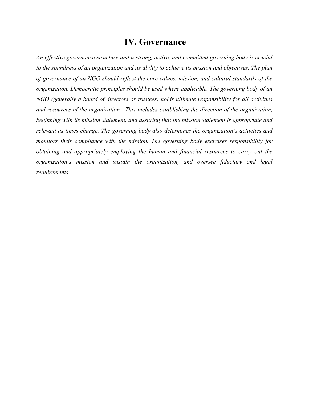### **IV. Governance**

*An effective governance structure and a strong, active, and committed governing body is crucial to the soundness of an organization and its ability to achieve its mission and objectives. The plan of governance of an NGO should reflect the core values, mission, and cultural standards of the organization. Democratic principles should be used where applicable. The governing body of an NGO (generally a board of directors or trustees) holds ultimate responsibility for all activities and resources of the organization. This includes establishing the direction of the organization, beginning with its mission statement, and assuring that the mission statement is appropriate and relevant as times change. The governing body also determines the organization's activities and monitors their compliance with the mission. The governing body exercises responsibility for obtaining and appropriately employing the human and financial resources to carry out the organization's mission and sustain the organization, and oversee fiduciary and legal requirements.*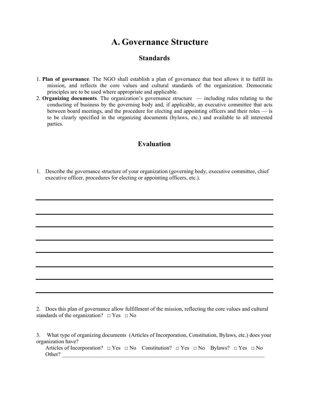## **A. Governance Structure**

### **Standards**

- 1. **Plan of governance***.* The NGO shall establish a plan of governance that best allows it to fulfill its mission, and reflects the core values and cultural standards of the organization. Democratic principles are to be used where appropriate and applicable.
- 2. **Organizing documents***.* The organization's governance structure including rules relating to the conducting of business by the governing body and, if applicable, an executive committee that acts between board meetings, and the procedure for electing and appointing officers and their roles — is to be clearly specified in the organizing documents (bylaws, etc.) and available to all interested parties.

### **Evaluation**

1. Describe the governance structure of your organization (governing body, executive committee, chief executive officer, procedures for electing or appointing officers, etc.).

2. Does this plan of governance allow fulfillment of the mission, reflecting the core values and cultural standards of the organization?  $\Box$  Yes  $\Box$  No

3. What type of organizing documents (Articles of Incorporation, Constitution, Bylaws, etc.) does your organization have?

Articles of Incorporation?  $\Box$  Yes  $\Box$  No Constitution?  $\Box$  Yes  $\Box$  No Bylaws?  $\Box$  Yes  $\Box$  No Other?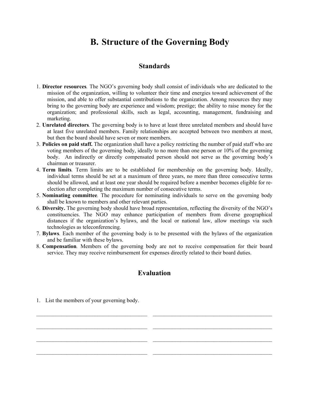# **B. Structure of the Governing Body**

### **Standards**

- 1. **Director resources***.* The NGO's governing body shall consist of individuals who are dedicated to the mission of the organization, willing to volunteer their time and energies toward achievement of the mission, and able to offer substantial contributions to the organization. Among resources they may bring to the governing body are experience and wisdom; prestige; the ability to raise money for the organization; and professional skills, such as legal, accounting, management, fundraising and marketing.
- 2. **Unrelated directors***.* The governing body is to have at least three unrelated members and should have at least five unrelated members. Family relationships are accepted between two members at most, but then the board should have seven or more members.
- 3. **Policies on paid staff.** The organization shall have a policy restricting the number of paid staff who are voting members of the governing body, ideally to no more than one person or 10% of the governing body. An indirectly or directly compensated person should not serve as the governing body's chairman or treasurer.
- 4. **Term limits***.* Term limits are to be established for membership on the governing body. Ideally, individual terms should be set at a maximum of three years, no more than three consecutive terms should be allowed, and at least one year should be required before a member becomes eligible for reelection after completing the maximum number of consecutive terms.
- 5. **Nominating committee***.* The procedure for nominating individuals to serve on the governing body shall be known to members and other relevant parties.
- 6. **Diversity.** The governing body should have broad representation, reflecting the diversity of the NGO's constituencies. The NGO may enhance participation of members from diverse geographical distances if the organization's bylaws, and the local or national law, allow meetings via such technologies as teleconferencing.
- 7. **Bylaws***.* Each member of the governing body is to be presented with the bylaws of the organization and be familiar with these bylaws.
- 8. **Compensation***.* Members of the governing body are not to receive compensation for their board service. They may receive reimbursement for expenses directly related to their board duties.

### **Evaluation**

\_\_\_\_\_\_\_\_\_\_\_\_\_\_\_\_\_\_\_\_\_\_\_\_\_\_\_\_\_\_\_\_\_\_\_\_\_\_\_\_ \_\_\_\_\_\_\_\_\_\_\_\_\_\_\_\_\_\_\_\_\_\_\_\_\_\_\_\_\_\_\_\_\_\_\_\_\_\_\_\_\_\_\_

 $\mathcal{L}_\text{max} = \frac{1}{2} \sum_{i=1}^n \mathcal{L}_\text{max} = \frac{1}{2} \sum_{i=1}^n \mathcal{L}_\text{max} = \frac{1}{2} \sum_{i=1}^n \mathcal{L}_\text{max} = \frac{1}{2} \sum_{i=1}^n \mathcal{L}_\text{max} = \frac{1}{2} \sum_{i=1}^n \mathcal{L}_\text{max} = \frac{1}{2} \sum_{i=1}^n \mathcal{L}_\text{max} = \frac{1}{2} \sum_{i=1}^n \mathcal{L}_\text{max} = \frac{1}{2} \sum_{i=$ 

 $\mathcal{L}_\text{max} = \frac{1}{2} \sum_{i=1}^n \mathcal{L}_\text{max} = \frac{1}{2} \sum_{i=1}^n \mathcal{L}_\text{max} = \frac{1}{2} \sum_{i=1}^n \mathcal{L}_\text{max} = \frac{1}{2} \sum_{i=1}^n \mathcal{L}_\text{max} = \frac{1}{2} \sum_{i=1}^n \mathcal{L}_\text{max} = \frac{1}{2} \sum_{i=1}^n \mathcal{L}_\text{max} = \frac{1}{2} \sum_{i=1}^n \mathcal{L}_\text{max} = \frac{1}{2} \sum_{i=$ 

 $\mathcal{L}_\text{max} = \frac{1}{2} \sum_{i=1}^n \mathcal{L}_\text{max} = \frac{1}{2} \sum_{i=1}^n \mathcal{L}_\text{max} = \frac{1}{2} \sum_{i=1}^n \mathcal{L}_\text{max} = \frac{1}{2} \sum_{i=1}^n \mathcal{L}_\text{max} = \frac{1}{2} \sum_{i=1}^n \mathcal{L}_\text{max} = \frac{1}{2} \sum_{i=1}^n \mathcal{L}_\text{max} = \frac{1}{2} \sum_{i=1}^n \mathcal{L}_\text{max} = \frac{1}{2} \sum_{i=$ 

1. List the members of your governing body.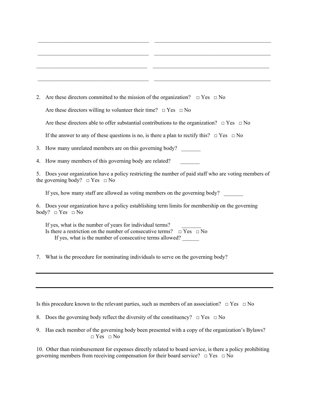| 2. | Are these directors committed to the mission of the organization? $\Box$ Yes $\Box$ No                                                                                                                   |
|----|----------------------------------------------------------------------------------------------------------------------------------------------------------------------------------------------------------|
|    | Are these directors willing to volunteer their time? $\Box$ Yes $\Box$ No                                                                                                                                |
|    | Are these directors able to offer substantial contributions to the organization? $\Box$ Yes $\Box$ No                                                                                                    |
|    | If the answer to any of these questions is no, is there a plan to rectify this? $\Box$ Yes $\Box$ No                                                                                                     |
| 3. | How many unrelated members are on this governing body?                                                                                                                                                   |
| 4. | How many members of this governing body are related?                                                                                                                                                     |
| 5. | Does your organization have a policy restricting the number of paid staff who are voting members of<br>the governing body? $\Box$ Yes $\Box$ No                                                          |
|    | If yes, how many staff are allowed as voting members on the governing body?                                                                                                                              |
|    | 6. Does your organization have a policy establishing term limits for membership on the governing<br>body? $\Box$ Yes $\Box$ No                                                                           |
|    | If yes, what is the number of years for individual terms?<br>Is there a restriction on the number of consecutive terms? $\Box$ Yes $\Box$ No<br>If yes, what is the number of consecutive terms allowed? |
| 7. | What is the procedure for nominating individuals to serve on the governing body?                                                                                                                         |
|    |                                                                                                                                                                                                          |

Is this procedure known to the relevant parties, such as members of an association?  $\Box$  Yes  $\Box$  No

- 8. Does the governing body reflect the diversity of the constituency?  $\Box$  Yes  $\Box$  No
- 9. Has each member of the governing body been presented with a copy of the organization's Bylaws?  $\Box$  Yes  $\Box$  No

10. Other than reimbursement for expenses directly related to board service, is there a policy prohibiting governing members from receiving compensation for their board service?  $\Box$  Yes  $\Box$  No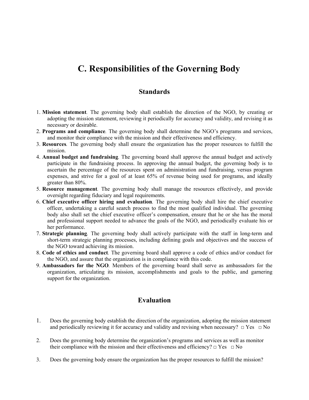## **C. Responsibilities of the Governing Body**

### **Standards**

- 1. **Mission statement***.* The governing body shall establish the direction of the NGO, by creating or adopting the mission statement, reviewing it periodically for accuracy and validity, and revising it as necessary or desirable.
- 2. **Programs and compliance***.* The governing body shall determine the NGO's programs and services, and monitor their compliance with the mission and their effectiveness and efficiency.
- 3. **Resources***.* The governing body shall ensure the organization has the proper resources to fulfill the mission.
- 4. **Annual budget and fundraising***.* The governing board shall approve the annual budget and actively participate in the fundraising process. In approving the annual budget, the governing body is to ascertain the percentage of the resources spent on administration and fundraising, versus program expenses, and strive for a goal of at least 65% of revenue being used for programs, and ideally greater than 80%.
- 5. **Resource management***.* The governing body shall manage the resources effectively, and provide oversight regarding fiduciary and legal requirements.
- 6. **Chief executive officer hiring and evaluation***.* The governing body shall hire the chief executive officer, undertaking a careful search process to find the most qualified individual. The governing body also shall set the chief executive officer's compensation, ensure that he or she has the moral and professional support needed to advance the goals of the NGO, and periodically evaluate his or her performance.
- 7. **Strategic planning***.* The governing body shall actively participate with the staff in long-term and short-term strategic planning processes, including defining goals and objectives and the success of the NGO toward achieving its mission.
- 8. **Code of ethics and conduct***.* The governing board shall approve a code of ethics and/or conduct for the NGO, and assure that the organization is in compliance with this code.
- 9. **Ambassadors for the NGO***.* Members of the governing board shall serve as ambassadors for the organization, articulating its mission, accomplishments and goals to the public, and garnering support for the organization.

### **Evaluation**

- 1. Does the governing body establish the direction of the organization, adopting the mission statement and periodically reviewing it for accuracy and validity and revising when necessary?  $\Box$  Yes  $\Box$  No
- 2. Does the governing body determine the organization's programs and services as well as monitor their compliance with the mission and their effectiveness and efficiency?  $\Box$  Yes  $\Box$  No
- 3. Does the governing body ensure the organization has the proper resources to fulfill the mission?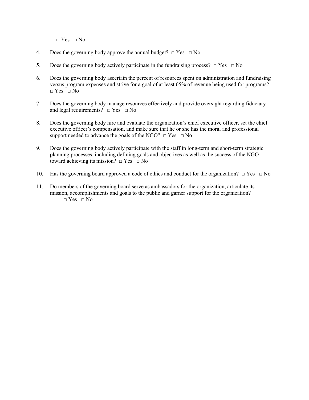$\Box$  Yes  $\Box$  No

- 4. Does the governing body approve the annual budget?  $\Box$  Yes  $\Box$  No
- 5. Does the governing body actively participate in the fundraising process?  $\Box$  Yes  $\Box$  No
- 6. Does the governing body ascertain the percent of resources spent on administration and fundraising versus program expenses and strive for a goal of at least 65% of revenue being used for programs?  $\neg$  Yes  $\neg$  No
- 7. Does the governing body manage resources effectively and provide oversight regarding fiduciary and legal requirements?  $\Box$  Yes  $\Box$  No
- 8. Does the governing body hire and evaluate the organization's chief executive officer, set the chief executive officer's compensation, and make sure that he or she has the moral and professional support needed to advance the goals of the NGO?  $\Box$  Yes  $\Box$  No
- 9. Does the governing body actively participate with the staff in long-term and short-term strategic planning processes, including defining goals and objectives as well as the success of the NGO toward achieving its mission?  $\Box$  Yes  $\Box$  No
- 10. Has the governing board approved a code of ethics and conduct for the organization?  $\Box$  Yes  $\Box$  No
- 11. Do members of the governing board serve as ambassadors for the organization, articulate its mission, accomplishments and goals to the public and garner support for the organization?  $\neg$  Yes  $\neg$  No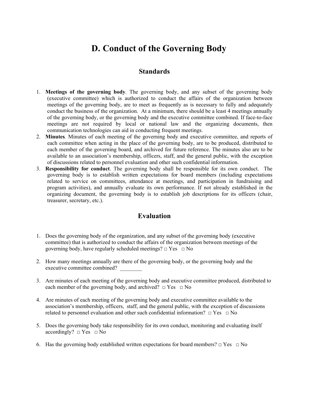## **D. Conduct of the Governing Body**

### **Standards**

- 1. **Meetings of the governing body***.* The governing body, and any subset of the governing body (executive committee) which is authorized to conduct the affairs of the organization between meetings of the governing body, are to meet as frequently as is necessary to fully and adequately conduct the business of the organization. At a minimum, there should be a least 4 meetings annually of the governing body, or the governing body and the executive committee combined. If face-to-face meetings are not required by local or national law and the organizing documents, then communication technologies can aid in conducting frequent meetings.
- 2. **Minutes***.* Minutes of each meeting of the governing body and executive committee, and reports of each committee when acting in the place of the governing body, are to be produced, distributed to each member of the governing board, and archived for future reference. The minutes also are to be available to an association's membership, officers, staff, and the general public, with the exception of discussions related to personnel evaluation and other such confidential information.
- 3. **Responsibility for conduct**. The governing body shall be responsible for its own conduct. The governing body is to establish written expectations for board members (including expectations related to service on committees, attendance at meetings, and participation in fundraising and program activities), and annually evaluate its own performance. If not already established in the organizing document, the governing body is to establish job descriptions for its officers (chair, treasurer, secretary, etc.).

### **Evaluation**

- 1. Does the governing body of the organization, and any subset of the governing body (executive committee) that is authorized to conduct the affairs of the organization between meetings of the governing body, have regularly scheduled meetings?  $\Box$  Yes  $\Box$  No
- 2. How many meetings annually are there of the governing body, or the governing body and the executive committee combined?
- 3. Are minutes of each meeting of the governing body and executive committee produced, distributed to each member of the governing body, and archived?  $\Box$  Yes  $\Box$  No
- 4. Are minutes of each meeting of the governing body and executive committee available to the association's membership, officers, staff, and the general public, with the exception of discussions related to personnel evaluation and other such confidential information?  $\Box$  Yes  $\Box$  No
- 5. Does the governing body take responsibility for its own conduct, monitoring and evaluating itself accordingly?  $\Box$  Yes  $\Box$  No
- 6. Has the governing body established written expectations for board members?  $\Box$  Yes  $\Box$  No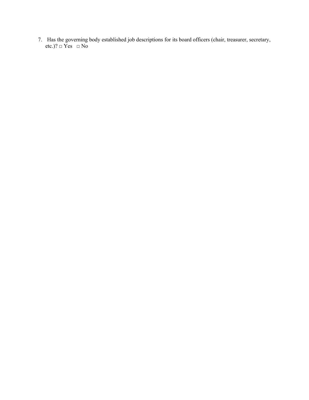7. Has the governing body established job descriptions for its board officers (chair, treasurer, secretary, etc.)?  $\Box$  Yes  $\Box$  No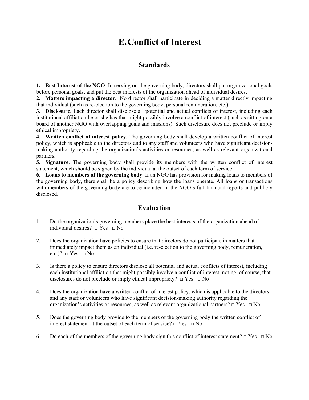# **E.Conflict of Interest**

### **Standards**

**1. Best Interest of the NGO**. In serving on the governing body, directors shall put organizational goals before personal goals, and put the best interests of the organization ahead of individual desires.

**2. Matters impacting a director**. No director shall participate in deciding a matter directly impacting that individual (such as re-election to the governing body, personal remuneration, etc.)

**3. Disclosure**. Each director shall disclose all potential and actual conflicts of interest, including each institutional affiliation he or she has that might possibly involve a conflict of interest (such as sitting on a board of another NGO with overlapping goals and missions). Such disclosure does not preclude or imply ethical impropriety.

**4. Written conflict of interest policy**. The governing body shall develop a written conflict of interest policy, which is applicable to the directors and to any staff and volunteers who have significant decisionmaking authority regarding the organization's activities or resources, as well as relevant organizational partners.

**5. Signature**. The governing body shall provide its members with the written conflict of interest statement, which should be signed by the individual at the outset of each term of service.

**6. Loans to members of the governing body**. If an NGO has provision for making loans to members of the governing body, there shall be a policy describing how the loans operate. All loans or transactions with members of the governing body are to be included in the NGO's full financial reports and publicly disclosed.

### **Evaluation**

- 1. Do the organization's governing members place the best interests of the organization ahead of individual desires?  $\Box$  Yes  $\Box$  No
- 2. Does the organization have policies to ensure that directors do not participate in matters that immediately impact them as an individual (i.e. re-election to the governing body, remuneration, etc.)?  $\Box$  Yes  $\Box$  No
- 3. Is there a policy to ensure directors disclose all potential and actual conflicts of interest, including each institutional affiliation that might possibly involve a conflict of interest, noting, of course, that disclosures do not preclude or imply ethical impropriety?  $\Box$  Yes  $\Box$  No
- 4. Does the organization have a written conflict of interest policy, which is applicable to the directors and any staff or volunteers who have significant decision-making authority regarding the organization's activities or resources, as well as relevant organizational partners?  $\Box$  Yes  $\Box$  No
- 5. Does the governing body provide to the members of the governing body the written conflict of interest statement at the outset of each term of service?  $\Box$  Yes  $\Box$  No
- 6. Do each of the members of the governing body sign this conflict of interest statement?  $\Box$  Yes  $\Box$  No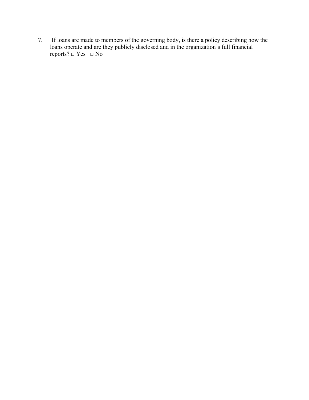7. If loans are made to members of the governing body, is there a policy describing how the loans operate and are they publicly disclosed and in the organization's full financial reports?  $\Box$  Yes  $\Box$  No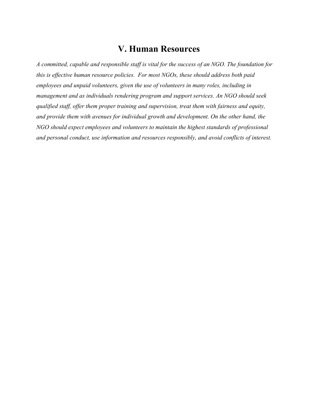### **V. Human Resources**

*A committed, capable and responsible staff is vital for the success of an NGO. The foundation for this is effective human resource policies. For most NGOs, these should address both paid employees and unpaid volunteers, given the use of volunteers in many roles, including in management and as individuals rendering program and support services. An NGO should seek qualified staff, offer them proper training and supervision, treat them with fairness and equity, and provide them with avenues for individual growth and development. On the other hand, the NGO should expect employees and volunteers to maintain the highest standards of professional and personal conduct, use information and resources responsibly, and avoid conflicts of interest.*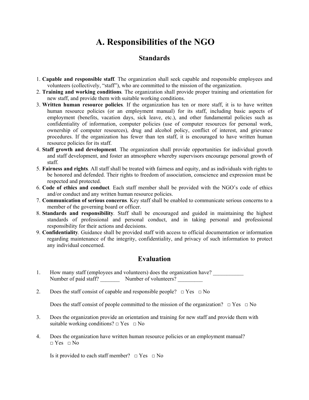# **A. Responsibilities of the NGO**

### **Standards**

- 1. **Capable and responsible staff***.* The organization shall seek capable and responsible employees and volunteers (collectively, "staff"), who are committed to the mission of the organization.
- 2. **Training and working conditions***.* The organization shall provide proper training and orientation for new staff, and provide them with suitable working conditions.
- 3. **Written human resource policies***.* If the organization has ten or more staff, it is to have written human resource policies (or an employment manual) for its staff, including basic aspects of employment (benefits, vacation days, sick leave, etc.), and other fundamental policies such as confidentiality of information, computer policies (use of computer resources for personal work, ownership of computer resources), drug and alcohol policy, conflict of interest, and grievance procedures. If the organization has fewer than ten staff, it is encouraged to have written human resource policies for its staff.
- 4. **Staff growth and development***.* The organization shall provide opportunities for individual growth and staff development, and foster an atmosphere whereby supervisors encourage personal growth of staff.
- 5. **Fairness and rights***.* All staff shall be treated with fairness and equity, and as individuals with rights to be honored and defended. Their rights to freedom of association, conscience and expression must be respected and protected.
- 6. **Code of ethics and conduct***.* Each staff member shall be provided with the NGO's code of ethics and/or conduct and any written human resource policies.
- 7. **Communication of serious concerns***.* Key staff shall be enabled to communicate serious concerns to a member of the governing board or officer.
- 8. **Standards and responsibility***.* Staff shall be encouraged and guided in maintaining the highest standards of professional and personal conduct, and in taking personal and professional responsibility for their actions and decisions.
- 9. **Confidentiality***.* Guidance shall be provided staff with access to official documentation or information regarding maintenance of the integrity, confidentiality, and privacy of such information to protect any individual concerned.

### **Evaluation**

- 1. How many staff (employees and volunteers) does the organization have? Number of paid staff? Number of volunteers?
- 2. Does the staff consist of capable and responsible people?  $\Box$  Yes  $\Box$  No

Does the staff consist of people committed to the mission of the organization?  $\Box$  Yes  $\Box$  No

- 3. Does the organization provide an orientation and training for new staff and provide them with suitable working conditions?  $\Box$  Yes  $\Box$  No
- 4. Does the organization have written human resource policies or an employment manual?  $\neg$  Yes  $\neg$  No

Is it provided to each staff member?  $\Box$  Yes  $\Box$  No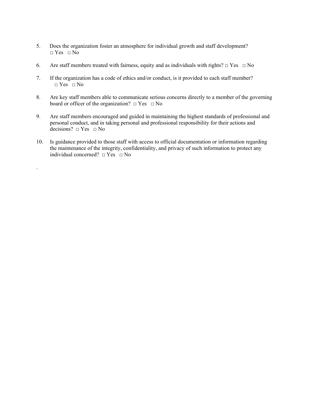- 5. Does the organization foster an atmosphere for individual growth and staff development?  $\neg$  Yes  $\neg$  No
- 6. Are staff members treated with fairness, equity and as individuals with rights?  $\Box$  Yes  $\Box$  No
- 7. If the organization has a code of ethics and/or conduct, is it provided to each staff member?  $\Box$  Yes  $\Box$  No
- 8. Are key staff members able to communicate serious concerns directly to a member of the governing board or officer of the organization?  $\Box$  Yes  $\Box$  No
- 9. Are staff members encouraged and guided in maintaining the highest standards of professional and personal conduct, and in taking personal and professional responsibility for their actions and decisions?  $\Box$  Yes  $\Box$  No
- 10. Is guidance provided to those staff with access to official documentation or information regarding the maintenance of the integrity, confidentiality, and privacy of such information to protect any individual concerned?  $\Box$  Yes  $\Box$  No

.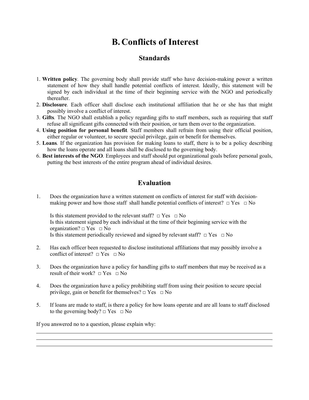## **B. Conflicts of Interest**

### **Standards**

- 1. **Written policy***.* The governing body shall provide staff who have decision-making power a written statement of how they shall handle potential conflicts of interest. Ideally, this statement will be signed by each individual at the time of their beginning service with the NGO and periodically thereafter.
- 2. **Disclosure***.* Each officer shall disclose each institutional affiliation that he or she has that might possibly involve a conflict of interest.
- 3. **Gifts***.* The NGO shall establish a policy regarding gifts to staff members, such as requiring that staff refuse all significant gifts connected with their position, or turn them over to the organization.
- 4. **Using position for personal benefit***.* Staff members shall refrain from using their official position, either regular or volunteer, to secure special privilege, gain or benefit for themselves.
- 5. **Loans***.* If the organization has provision for making loans to staff, there is to be a policy describing how the loans operate and all loans shall be disclosed to the governing body.
- 6. **Best interests of the NGO***.* Employees and staff should put organizational goals before personal goals, putting the best interests of the entire program ahead of individual desires.

### **Evaluation**

1. Does the organization have a written statement on conflicts of interest for staff with decisionmaking power and how those staff shall handle potential conflicts of interest?  $\Box$  Yes  $\Box$  No

Is this statement provided to the relevant staff?  $\Box$  Yes  $\Box$  No Is this statement signed by each individual at the time of their beginning service with the organization?  $\Box$  Yes  $\Box$  No Is this statement periodically reviewed and signed by relevant staff?  $\Box$  Yes  $\Box$  No

- 2. Has each officer been requested to disclose institutional affiliations that may possibly involve a conflict of interest?  $\Box$  Yes  $\Box$  No
- 3. Does the organization have a policy for handling gifts to staff members that may be received as a result of their work?  $\Box$  Yes  $\Box$  No
- 4. Does the organization have a policy prohibiting staff from using their position to secure special privilege, gain or benefit for themselves?  $\Box$  Yes  $\Box$  No
- 5. If loans are made to staff, is there a policy for how loans operate and are all loans to staff disclosed to the governing body?  $\Box$  Yes  $\Box$  No

If you answered no to a question, please explain why:

l l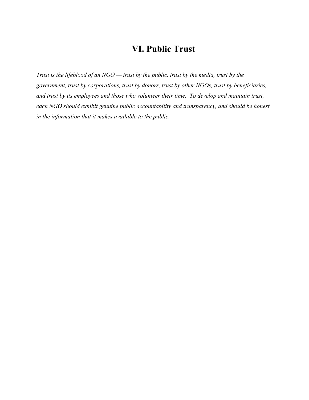## **VI. Public Trust**

*Trust is the lifeblood of an NGO — trust by the public, trust by the media, trust by the government, trust by corporations, trust by donors, trust by other NGOs, trust by beneficiaries, and trust by its employees and those who volunteer their time. To develop and maintain trust, each NGO should exhibit genuine public accountability and transparency, and should be honest in the information that it makes available to the public.*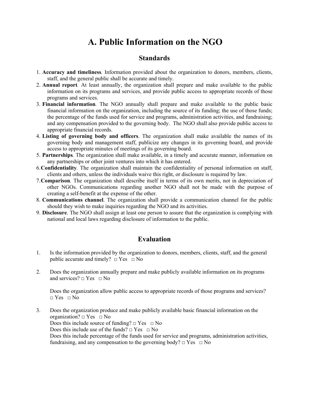## **A. Public Information on the NGO**

### **Standards**

- 1. **Accuracy and timeliness***.* Information provided about the organization to donors, members, clients, staff, and the general public shall be accurate and timely.
- 2. **Annual report***.* At least annually, the organization shall prepare and make available to the public information on its programs and services, and provide public access to appropriate records of those programs and services.
- 3. **Financial information***.* The NGO annually shall prepare and make available to the public basic financial information on the organization, including the source of its funding; the use of those funds; the percentage of the funds used for service and programs, administration activities, and fundraising; and any compensation provided to the governing body. The NGO shall also provide public access to appropriate financial records.
- 4. **Listing of governing body and officers**. The organization shall make available the names of its governing body and management staff, publicize any changes in its governing board, and provide access to appropriate minutes of meetings of its governing board.
- 5. **Partnerships***.* The organization shall make available, in a timely and accurate manner, information on any partnerships or other joint ventures into which it has entered.
- 6.**Confidentiality***.* The organization shall maintain the confidentiality of personal information on staff, clients and others, unless the individuals waive this right, or disclosure is required by law.
- 7.**Comparison***.* The organization shall describe itself in terms of its own merits, not in depreciation of other NGOs. Communications regarding another NGO shall not be made with the purpose of creating a self-benefit at the expense of the other.
- 8. **Communications channel**. The organization shall provide a communication channel for the public should they wish to make inquiries regarding the NGO and its activities.
- 9. **Disclosure**. The NGO shall assign at least one person to assure that the organization is complying with national and local laws regarding disclosure of information to the public.

### **Evaluation**

- 1. Is the information provided by the organization to donors, members, clients, staff, and the general public accurate and timely?  $\Box$  Yes  $\Box$  No
- 2. Does the organization annually prepare and make publicly available information on its programs and services?  $\Box$  Yes  $\Box$  No

Does the organization allow public access to appropriate records of those programs and services?  $\Box$  Yes  $\Box$  No

3. Does the organization produce and make publicly available basic financial information on the organization?  $\Box$  Yes  $\Box$  No Does this include source of funding?  $\Box$  Yes  $\Box$  No Does this include use of the funds?  $\Box$  Yes  $\Box$  No Does this include percentage of the funds used for service and programs, administration activities, fundraising, and any compensation to the governing body?  $\Box$  Yes  $\Box$  No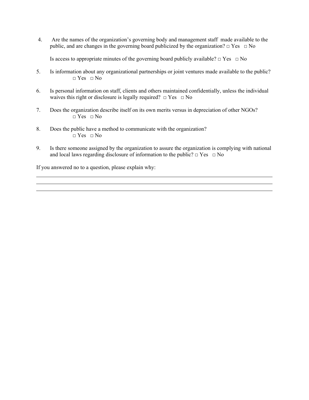4. Are the names of the organization's governing body and management staff made available to the public, and are changes in the governing board publicized by the organization?  $\Box$  Yes  $\Box$  No

Is access to appropriate minutes of the governing board publicly available?  $\Box$  Yes  $\Box$  No

- 5. Is information about any organizational partnerships or joint ventures made available to the public?  $\Box$  Yes  $\Box$  No
- 6. Is personal information on staff, clients and others maintained confidentially, unless the individual waives this right or disclosure is legally required?  $\Box$  Yes  $\Box$  No
- 7. Does the organization describe itself on its own merits versus in depreciation of other NGOs?  $\Box$  Yes  $\Box$  No
- 8. Does the public have a method to communicate with the organization?  $\neg$  Yes  $\neg$  No
- 9. Is there someone assigned by the organization to assure the organization is complying with national and local laws regarding disclosure of information to the public?  $\Box$  Yes  $\Box$  No

If you answered no to a question, please explain why: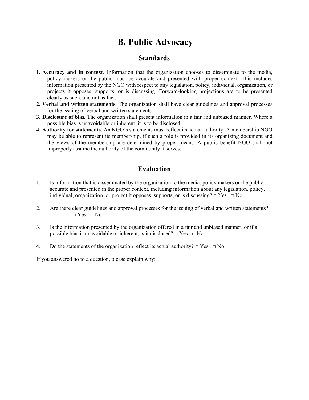## **B. Public Advocacy**

### **Standards**

- **1. Accuracy and in context***.* Information that the organization chooses to disseminate to the media, policy makers or the public must be accurate and presented with proper context. This includes information presented by the NGO with respect to any legislation, policy, individual, organization, or projects it opposes, supports, or is discussing. Forward-looking projections are to be presented clearly as such, and not as fact.
- **2. Verbal and written statements***.* The organization shall have clear guidelines and approval processes for the issuing of verbal and written statements.
- **3. Disclosure of bias***.* The organization shall present information in a fair and unbiased manner. Where a possible bias is unavoidable or inherent, it is to be disclosed.
- **4. Authority for statements**. An NGO's statements must reflect its actual authority. A membership NGO may be able to represent its membership, if such a role is provided in its organizing document and the views of the membership are determined by proper means. A public benefit NGO shall not improperly assume the authority of the community it serves.

### **Evaluation**

- 1. Is information that is disseminated by the organization to the media, policy makers or the public accurate and presented in the proper context, including information about any legislation, policy, individual, organization, or project it opposes, supports, or is discussing?  $\Box$  Yes  $\Box$  No
- 2. Are there clear guidelines and approval processes for the issuing of verbal and written statements?  $\Box$  Yes  $\Box$  No
- 3. Is the information presented by the organization offered in a fair and unbiased manner, or if a possible bias is unavoidable or inherent, is it disclosed?  $\Box$  Yes  $\Box$  No
- 4. Do the statements of the organization reflect its actual authority?  $\Box$  Yes  $\Box$  No

If you answered no to a question, please explain why:

 $\overline{a}$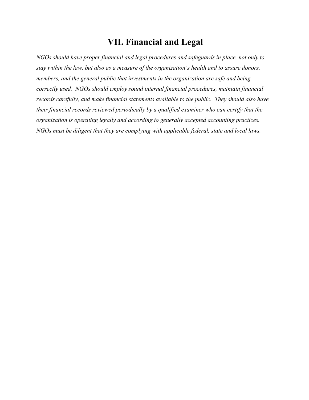# **VII. Financial and Legal**

*NGOs should have proper financial and legal procedures and safeguards in place, not only to stay within the law, but also as a measure of the organization's health and to assure donors, members, and the general public that investments in the organization are safe and being correctly used. NGOs should employ sound internal financial procedures, maintain financial records carefully, and make financial statements available to the public. They should also have their financial records reviewed periodically by a qualified examiner who can certify that the organization is operating legally and according to generally accepted accounting practices. NGOs must be diligent that they are complying with applicable federal, state and local laws.*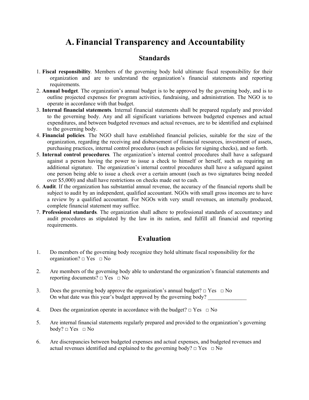## **A. Financial Transparency and Accountability**

### **Standards**

- 1. **Fiscal responsibility***.* Members of the governing body hold ultimate fiscal responsibility for their organization and are to understand the organization's financial statements and reporting requirements.
- 2. **Annual budget***.* The organization's annual budget is to be approved by the governing body, and is to outline projected expenses for program activities, fundraising, and administration. The NGO is to operate in accordance with that budget.
- 3. **Internal financial statements***.* Internal financial statements shall be prepared regularly and provided to the governing body. Any and all significant variations between budgeted expenses and actual expenditures, and between budgeted revenues and actual revenues, are to be identified and explained to the governing body.
- 4. **Financial policies***.* The NGO shall have established financial policies, suitable for the size of the organization, regarding the receiving and disbursement of financial resources, investment of assets, purchasing practices, internal control procedures (such as policies for signing checks), and so forth.
- 5. **Internal control procedures***.* The organization's internal control procedures shall have a safeguard against a person having the power to issue a check to himself or herself, such as requiring an additional signature. The organization's internal control procedures shall have a safeguard against one person being able to issue a check over a certain amount (such as two signatures being needed over \$5,000) and shall have restrictions on checks made out to cash.
- 6. **Audit***.* If the organization has substantial annual revenue, the accuracy of the financial reports shall be subject to audit by an independent, qualified accountant. NGOs with small gross incomes are to have a review by a qualified accountant. For NGOs with very small revenues, an internally produced, complete financial statement may suffice.
- 7. **Professional standards***.* The organization shall adhere to professional standards of accountancy and audit procedures as stipulated by the law in its nation, and fulfill all financial and reporting requirements.

### **Evaluation**

- 1. Do members of the governing body recognize they hold ultimate fiscal responsibility for the organization?  $\Box$  Yes  $\Box$  No
- 2. Are members of the governing body able to understand the organization's financial statements and reporting documents?  $\Box$  Yes  $\Box$  No
- 3. Does the governing body approve the organization's annual budget?  $\Box$  Yes  $\Box$  No On what date was this year's budget approved by the governing body?
- 4. Does the organization operate in accordance with the budget?  $\Box$  Yes  $\Box$  No
- 5. Are internal financial statements regularly prepared and provided to the organization's governing  $body? \Box Yes \Box No$
- 6. Are discrepancies between budgeted expenses and actual expenses, and budgeted revenues and actual revenues identified and explained to the governing body?  $\Box$  Yes  $\Box$  No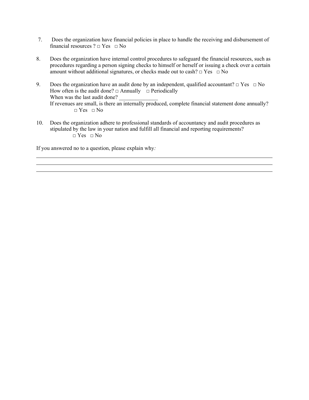- 7. Does the organization have financial policies in place to handle the receiving and disbursement of financial resources ?  $\Box$  Yes  $\Box$  No
- 8. Does the organization have internal control procedures to safeguard the financial resources, such as procedures regarding a person signing checks to himself or herself or issuing a check over a certain amount without additional signatures, or checks made out to cash?  $\Box$  Yes  $\Box$  No
- 9. Does the organization have an audit done by an independent, qualified accountant?  $\Box$  Yes  $\Box$  No How often is the audit done?  $\Box$  Annually  $\Box$  Periodically When was the last audit done? If revenues are small, is there an internally produced, complete financial statement done annually?  $\Box$  Yes  $\Box$  No
- 10. Does the organization adhere to professional standards of accountancy and audit procedures as stipulated by the law in your nation and fulfill all financial and reporting requirements?  $\neg$  Yes  $\neg$  No

If you answered no to a question, please explain why*:*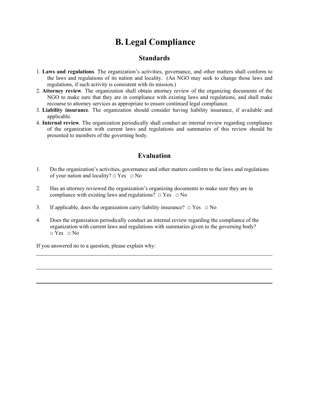# **B.Legal Compliance**

### **Standards**

- 1. **Laws and regulations***.* The organization's activities, governance, and other matters shall conform to the laws and regulations of its nation and locality. (An NGO may seek to change those laws and regulations, if such activity is consistent with its mission.)
- 2. **Attorney review***.* The organization shall obtain attorney review of the organizing documents of the NGO to make sure that they are in compliance with existing laws and regulations, and shall make recourse to attorney services as appropriate to ensure continued legal compliance.
- 3. **Liability insurance***.* The organization should consider having liability insurance, if available and applicable.
- 4. **Internal review***.* The organization periodically shall conduct an internal review regarding compliance of the organization with current laws and regulations and summaries of this review should be presented to members of the governing body.

### **Evaluation**

- 1. Do the organization's activities, governance and other matters conform to the laws and regulations of your nation and locality?  $\Box$  Yes  $\Box$  No
- 2. Has an attorney reviewed the organization's organizing documents to make sure they are in compliance with existing laws and regulations?  $\Box$  Yes  $\Box$  No
- 3. If applicable, does the organization carry liability insurance?  $\Box$  Yes  $\Box$  No
- 4. Does the organization periodically conduct an internal review regarding the compliance of the organization with current laws and regulations with summaries given to the governing body?  $\Box$  Yes  $\Box$  No

If you answered no to a question, please explain why:

 $\overline{a}$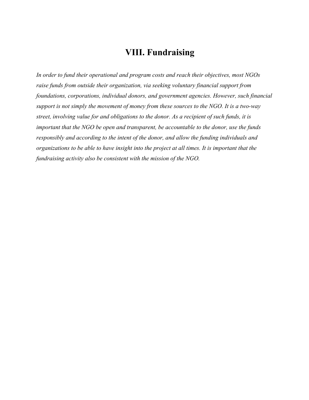## **VIII. Fundraising**

*In order to fund their operational and program costs and reach their objectives, most NGOs raise funds from outside their organization, via seeking voluntary financial support from foundations, corporations, individual donors, and government agencies. However, such financial support is not simply the movement of money from these sources to the NGO. It is a two-way street, involving value for and obligations to the donor. As a recipient of such funds, it is important that the NGO be open and transparent, be accountable to the donor, use the funds responsibly and according to the intent of the donor, and allow the funding individuals and organizations to be able to have insight into the project at all times. It is important that the fundraising activity also be consistent with the mission of the NGO.*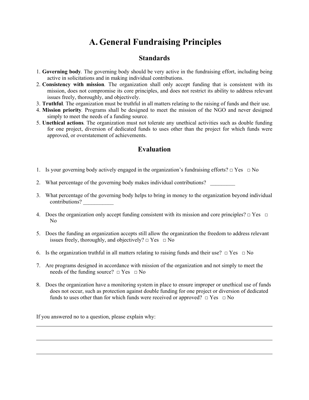# **A. General Fundraising Principles**

### **Standards**

- 1. **Governing body***.* The governing body should be very active in the fundraising effort, including being active in solicitations and in making individual contributions.
- 2. **Consistency with mission***.* The organization shall only accept funding that is consistent with its mission, does not compromise its core principles, and does not restrict its ability to address relevant issues freely, thoroughly, and objectively.
- 3. **Truthful***.* The organization must be truthful in all matters relating to the raising of funds and their use.
- 4. **Mission priority***.* Programs shall be designed to meet the mission of the NGO and never designed simply to meet the needs of a funding source.
- 5. **Unethical actions***.* The organization must not tolerate any unethical activities such as double funding for one project, diversion of dedicated funds to uses other than the project for which funds were approved, or overstatement of achievements.

### **Evaluation**

- 1. Is your governing body actively engaged in the organization's fundraising efforts?  $\Box$  Yes  $\Box$  No
- 2. What percentage of the governing body makes individual contributions?
- 3. What percentage of the governing body helps to bring in money to the organization beyond individual contributions?
- 4. Does the organization only accept funding consistent with its mission and core principles?  $\Box$  Yes  $\Box$ No
- 5. Does the funding an organization accepts still allow the organization the freedom to address relevant issues freely, thoroughly, and objectively?  $\Box$  Yes  $\Box$  No
- 6. Is the organization truthful in all matters relating to raising funds and their use?  $\Box$  Yes  $\Box$  No
- 7. Are programs designed in accordance with mission of the organization and not simply to meet the needs of the funding source?  $\Box$  Yes  $\Box$  No
- 8. Does the organization have a monitoring system in place to ensure improper or unethical use of funds does not occur, such as protection against double funding for one project or diversion of dedicated funds to uses other than for which funds were received or approved?  $\Box$  Yes  $\Box$  No

If you answered no to a question, please explain why:

l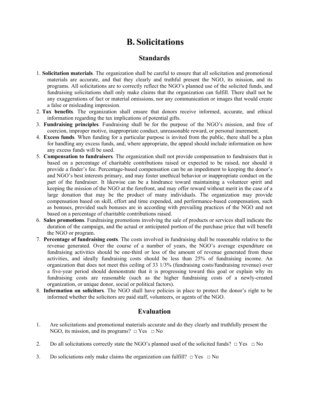## **B. Solicitations**

### **Standards**

- 1. **Solicitation materials***.* The organization shall be careful to ensure that all solicitation and promotional materials are accurate, and that they clearly and truthful present the NGO, its mission, and its programs. All solicitations are to correctly reflect the NGO's planned use of the solicited funds, and fundraising solicitations shall only make claims that the organization can fulfill. There shall not be any exaggerations of fact or material omissions, nor any communication or images that would create a false or misleading impression.
- 2. **Tax benefits***.* The organization shall ensure that donors receive informed, accurate, and ethical information regarding the tax implications of potential gifts.
- 3. **Fundraising principles***.* Fundraising shall be for the purpose of the NGO's mission, and free of coercion, improper motive, inappropriate conduct, unreasonable reward, or personal inurement.
- 4. **Excess funds***.* When funding for a particular purpose is invited from the public, there shall be a plan for handling any excess funds, and, where appropriate, the appeal should include information on how any excess funds will be used.
- 5. **Compensation to fundraisers***.* The organization shall not provide compensation to fundraisers that is based on a percentage of charitable contributions raised or expected to be raised, nor should it provide a finder's fee. Percentage-based compensation can be an impediment to keeping the donor's and NGO's best interests primary, and may foster unethical behavior or inappropriate conduct on the part of the fundraiser. It likewise can be a hindrance toward maintaining a volunteer spirit and keeping the mission of the NGO at the forefront, and may offer reward without merit in the case of a large donation that may be the product of many individuals. The organization may provide compensation based on skill, effort and time expended, and performance-based compensation, such as bonuses, provided such bonuses are in according with prevailing practices of the NGO and not based on a percentage of charitable contributions raised.
- 6. **Sales promotions***.* Fundraising promotions involving the sale of products or services shall indicate the duration of the campaign, and the actual or anticipated portion of the purchase price that will benefit the NGO or program.
- 7. **Percentage of fundraising costs***.* The costs involved in fundraising shall be reasonable relative to the revenue generated. Over the course of a number of years, the NGO's average expenditure on fundraising activities should be one-third or less of the amount of revenue generated from these activities, and ideally fundraising costs should be less than 25% of fundraising income. An organization that does not meet this ceiling of 33 1/3% (fundraising costs/fundraising revenue) over a five-year period should demonstrate that it is progressing toward this goal or explain why its fundraising costs are reasonable (such as the higher fundraising costs of a newly-created organization, or unique donor, social or political factors).
- 8. **Information on solicitors***.* The NGO shall have policies in place to protect the donor's right to be informed whether the solicitors are paid staff, volunteers, or agents of the NGO.

### **Evaluation**

- 1. Are solicitations and promotional materials accurate and do they clearly and truthfully present the NGO, its mission, and its programs?  $\Box$  Yes  $\Box$  No
- 2. Do all solicitations correctly state the NGO's planned used of the solicited funds?  $\Box$  Yes  $\Box$  No
- 3. Do soliciations only make claims the organization can fulfill?  $\Box$  Yes  $\Box$  No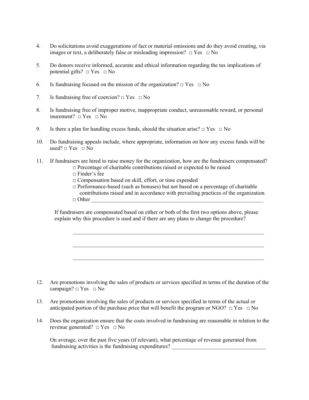- 4. Do solicitations avoid exaggerations of fact or material omissions and do they avoid creating, via images or text, a deliberately false or misleading impression?  $\Box$  Yes  $\Box$  No
- 5. Do donors receive informed, accurate and ethical information regarding the tax implications of potential gifts?  $\Box$  Yes  $\Box$  No
- 6. Is fundraising focused on the mission of the organization?  $\Box$  Yes  $\Box$  No
- 7. Is fundraising free of coercion?  $\Box$  Yes  $\Box$  No
- 8. Is fundraising free of improper motive, inappropriate conduct, unreasonable reward, or personal inurement?  $\Box$  Yes  $\Box$  No
- 9. Is there a plan for handling excess funds, should the situation arise?  $\Box$  Yes  $\Box$  No
- 10. Do fundraising appeals include, where appropriate, information on how any excess funds will be used?  $\square$  Yes  $\square$  No
- 11. If fundraisers are hired to raise money for the organization, how are the fundraisers compensated?  $\Box$  Percentage of charitable contributions raised or expected to be raised
	- $\sqcap$  Finder's fee
	- □ Compensation based on skill, effort, or time expended
	- $\Box$  Performance-based (such as bonuses) but not based on a percentage of charitable contributions raised and in accordance with prevailing practices of the organization
	- $\Box$  Other

 If fundraisers are compensated based on either or both of the first two options above, please explain why this procedure is used and if there are any plans to change the procedure?

 $\mathcal{L}_\text{max} = \frac{1}{2} \sum_{i=1}^n \mathcal{L}_\text{max}(\mathbf{x}_i - \mathbf{y}_i)$ 

 $\mathcal{L}_\mathcal{L} = \mathcal{L}_\mathcal{L} = \mathcal{L}_\mathcal{L} = \mathcal{L}_\mathcal{L} = \mathcal{L}_\mathcal{L} = \mathcal{L}_\mathcal{L} = \mathcal{L}_\mathcal{L} = \mathcal{L}_\mathcal{L} = \mathcal{L}_\mathcal{L} = \mathcal{L}_\mathcal{L} = \mathcal{L}_\mathcal{L} = \mathcal{L}_\mathcal{L} = \mathcal{L}_\mathcal{L} = \mathcal{L}_\mathcal{L} = \mathcal{L}_\mathcal{L} = \mathcal{L}_\mathcal{L} = \mathcal{L}_\mathcal{L}$ 

 $\mathcal{L}_\text{max} = \frac{1}{2} \sum_{i=1}^n \mathcal{L}_\text{max}(\mathbf{x}_i - \mathbf{y}_i)$ 

- 12. Are promotions involving the sales of products or services specified in terms of the duration of the campaign?  $\Box$  Yes  $\Box$  No
- 13. Are promotions involving the sales of products or services specified in terms of the actual or anticipated portion of the purchase price that will benefit the program or NGO?  $\Box$  Yes  $\Box$  No
- 14. Does the organization ensure that the costs involved in fundraising are reasonable in relation to the revenue generated?  $\Box$  Yes  $\Box$  No

On average, over the past five years (if relevant), what percentage of revenue generated from fundraising activities is the fundraising expenditures?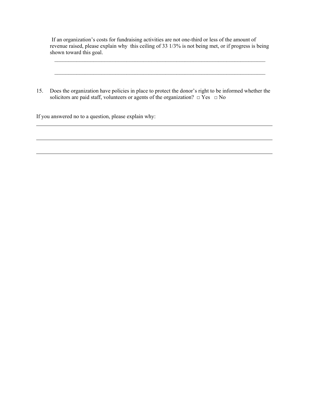If an organization's costs for fundraising activities are not one-third or less of the amount of revenue raised, please explain why this ceiling of 33 1/3% is not being met, or if progress is being shown toward this goal.

15. Does the organization have policies in place to protect the donor's right to be informed whether the solicitors are paid staff, volunteers or agents of the organization?  $\Box$  Yes  $\Box$  No

 $\mathcal{L}_\mathcal{L} = \{ \mathcal{L}_\mathcal{L} = \{ \mathcal{L}_\mathcal{L} = \{ \mathcal{L}_\mathcal{L} = \{ \mathcal{L}_\mathcal{L} = \{ \mathcal{L}_\mathcal{L} = \{ \mathcal{L}_\mathcal{L} = \{ \mathcal{L}_\mathcal{L} = \{ \mathcal{L}_\mathcal{L} = \{ \mathcal{L}_\mathcal{L} = \{ \mathcal{L}_\mathcal{L} = \{ \mathcal{L}_\mathcal{L} = \{ \mathcal{L}_\mathcal{L} = \{ \mathcal{L}_\mathcal{L} = \{ \mathcal{L}_\mathcal{$ 

 $\mathcal{L}_\mathcal{L} = \{ \mathcal{L}_\mathcal{L} = \{ \mathcal{L}_\mathcal{L} = \{ \mathcal{L}_\mathcal{L} = \{ \mathcal{L}_\mathcal{L} = \{ \mathcal{L}_\mathcal{L} = \{ \mathcal{L}_\mathcal{L} = \{ \mathcal{L}_\mathcal{L} = \{ \mathcal{L}_\mathcal{L} = \{ \mathcal{L}_\mathcal{L} = \{ \mathcal{L}_\mathcal{L} = \{ \mathcal{L}_\mathcal{L} = \{ \mathcal{L}_\mathcal{L} = \{ \mathcal{L}_\mathcal{L} = \{ \mathcal{L}_\mathcal{$ 

If you answered no to a question, please explain why:

 $\overline{a}$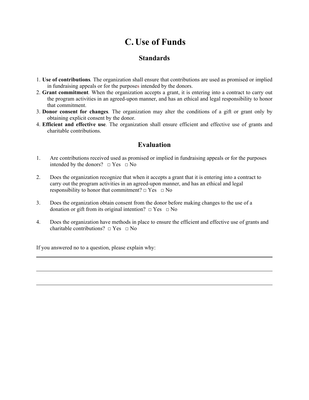# **C. Use of Funds**

### **Standards**

- 1. **Use of contributions***.* The organization shall ensure that contributions are used as promised or implied in fundraising appeals or for the purposes intended by the donors.
- 2. **Grant commitment***.* When the organization accepts a grant, it is entering into a contract to carry out the program activities in an agreed-upon manner, and has an ethical and legal responsibility to honor that commitment.
- 3. **Donor consent for changes***.* The organization may alter the conditions of a gift or grant only by obtaining explicit consent by the donor.
- 4. **Efficient and effective use***.* The organization shall ensure efficient and effective use of grants and charitable contributions.

### **Evaluation**

- 1. Are contributions received used as promised or implied in fundraising appeals or for the purposes intended by the donors?  $\Box$  Yes  $\Box$  No
- 2. Does the organization recognize that when it accepts a grant that it is entering into a contract to carry out the program activities in an agreed-upon manner, and has an ethical and legal responsibility to honor that commitment?  $\Box$  Yes  $\Box$  No
- 3. Does the organization obtain consent from the donor before making changes to the use of a donation or gift from its original intention?  $\Box$  Yes  $\Box$  No
- 4. Does the organization have methods in place to ensure the efficient and effective use of grants and charitable contributions?  $\Box$  Yes  $\Box$  No

If you answered no to a question, please explain why:

 $\overline{a}$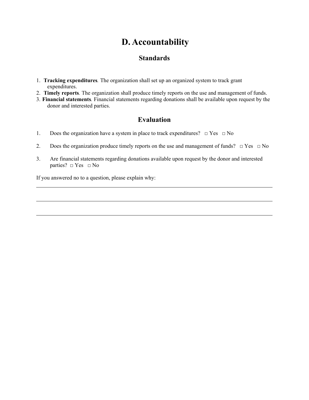## **D. Accountability**

### **Standards**

- 1. **Tracking expenditures***.* The organization shall set up an organized system to track grant expenditures.
- 2. **Timely reports***.* The organization shall produce timely reports on the use and management of funds.
- 3. **Financial statements***.* Financial statements regarding donations shall be available upon request by the donor and interested parties.

### **Evaluation**

- 1. Does the organization have a system in place to track expenditures?  $\Box$  Yes  $\Box$  No
- 2. Does the organization produce timely reports on the use and management of funds?  $\Box$  Yes  $\Box$  No
- 3. Are financial statements regarding donations available upon request by the donor and interested parties?  $\square$  Yes  $\square$  No

If you answered no to a question, please explain why:

 $\overline{a}$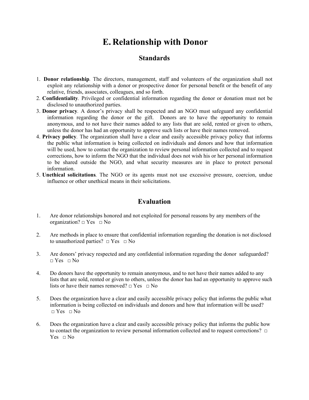## **E. Relationship with Donor**

### **Standards**

- 1. **Donor relationship***.* The directors, management, staff and volunteers of the organization shall not exploit any relationship with a donor or prospective donor for personal benefit or the benefit of any relative, friends, associates, colleagues, and so forth.
- 2. **Confidentiality***.* Privileged or confidential information regarding the donor or donation must not be disclosed to unauthorized parties.
- 3. **Donor privacy***.* A donor's privacy shall be respected and an NGO must safeguard any confidential information regarding the donor or the gift. Donors are to have the opportunity to remain anonymous, and to not have their names added to any lists that are sold, rented or given to others, unless the donor has had an opportunity to approve such lists or have their names removed.
- 4. **Privacy policy***.* The organization shall have a clear and easily accessible privacy policy that informs the public what information is being collected on individuals and donors and how that information will be used, how to contact the organization to review personal information collected and to request corrections, how to inform the NGO that the individual does not wish his or her personal information to be shared outside the NGO, and what security measures are in place to protect personal information.
- 5. **Unethical solicitations***.* The NGO or its agents must not use excessive pressure, coercion, undue influence or other unethical means in their solicitations.

### **Evaluation**

- 1. Are donor relationships honored and not exploited for personal reasons by any members of the organization?  $\Box$  Yes  $\Box$  No
- 2. Are methods in place to ensure that confidential information regarding the donation is not disclosed to unauthorized parties?  $\Box$  Yes  $\Box$  No
- 3. Are donors' privacy respected and any confidential information regarding the donor safeguarded?  $\Box$  Yes  $\Box$  No
- 4. Do donors have the opportunity to remain anonymous, and to not have their names added to any lists that are sold, rented or given to others, unless the donor has had an opportunity to approve such lists or have their names removed?  $\Box$  Yes  $\Box$  No
- 5. Does the organization have a clear and easily accessible privacy policy that informs the public what information is being collected on individuals and donors and how that information will be used?  $\Box$  Yes  $\Box$  No
- 6. Does the organization have a clear and easily accessible privacy policy that informs the public how to contact the organization to review personal information collected and to request corrections? □ Yes  $\Box$  No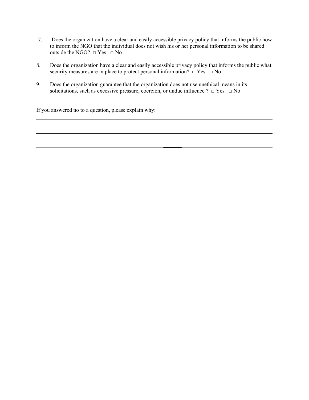- 7. Does the organization have a clear and easily accessible privacy policy that informs the public how to inform the NGO that the individual does not wish his or her personal information to be shared outside the NGO?  $\Box$  Yes  $\Box$  No
- 8. Does the organization have a clear and easily accessible privacy policy that informs the public what security measures are in place to protect personal information?  $\Box$  Yes  $\Box$  No
- 9. Does the organization guarantee that the organization does not use unethical means in its solicitations, such as excessive pressure, coercion, or undue influence ?  $\Box$  Yes  $\Box$  No

If you answered no to a question, please explain why:

 $\mathcal{L}_\text{max}$  , which is a set of the set of the set of the set of the set of the set of the set of the set of

l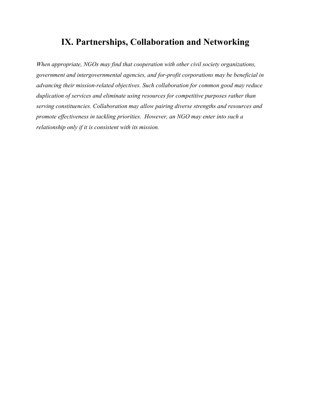## **IX. Partnerships, Collaboration and Networking**

*When appropriate, NGOs may find that cooperation with other civil society organizations, government and intergovernmental agencies, and for-profit corporations may be beneficial in advancing their mission-related objectives. Such collaboration for common good may reduce duplication of services and eliminate using resources for competitive purposes rather than serving constituencies. Collaboration may allow pairing diverse strengths and resources and promote effectiveness in tackling priorities. However, an NGO may enter into such a relationship only if it is consistent with its mission.*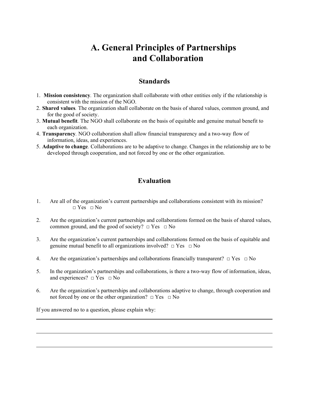## **A. General Principles of Partnerships and Collaboration**

### **Standards**

- 1. **Mission consistency***.* The organization shall collaborate with other entities only if the relationship is consistent with the mission of the NGO.
- 2. **Shared values***.* The organization shall collaborate on the basis of shared values, common ground, and for the good of society.
- 3. **Mutual benefit***.* The NGO shall collaborate on the basis of equitable and genuine mutual benefit to each organization.
- 4. **Transparency***.* NGO collaboration shall allow financial transparency and a two-way flow of information, ideas, and experiences.
- 5. **Adaptive to change***.* Collaborations are to be adaptive to change. Changes in the relationship are to be developed through cooperation, and not forced by one or the other organization.

### **Evaluation**

- 1. Are all of the organization's current partnerships and collaborations consistent with its mission?  $\Box$  Yes  $\Box$  No
- 2. Are the organization's current partnerships and collaborations formed on the basis of shared values, common ground, and the good of society?  $\Box$  Yes  $\Box$  No
- 3. Are the organization's current partnerships and collaborations formed on the basis of equitable and genuine mutual benefit to all organizations involved?  $\Box$  Yes  $\Box$  No
- 4. Are the organization's partnerships and collaborations financially transparent?  $\Box$  Yes  $\Box$  No
- 5. In the organization's partnerships and collaborations, is there a two-way flow of information, ideas, and experiences?  $\Box$  Yes  $\Box$  No
- 6. Are the organization's partnerships and collaborations adaptive to change, through cooperation and not forced by one or the other organization?  $\Box$  Yes  $\Box$  No

If you answered no to a question, please explain why: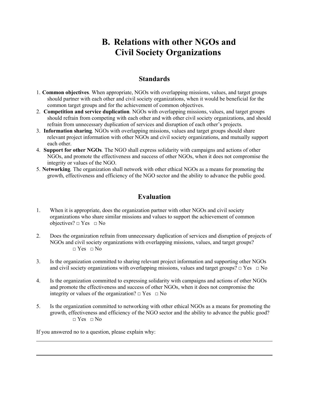# **B. Relations with other NGOs and Civil Society Organizations**

### **Standards**

- 1. **Common objectives***.* When appropriate, NGOs with overlapping missions, values, and target groups should partner with each other and civil society organizations, when it would be beneficial for the common target groups and for the achievement of common objectives.
- 2. **Competition and service duplication***.* NGOs with overlapping missions, values, and target groups should refrain from competing with each other and with other civil society organizations, and should refrain from unnecessary duplication of services and disruption of each other's projects.
- 3. **Information sharing***.* NGOs with overlapping missions, values and target groups should share relevant project information with other NGOs and civil society organizations, and mutually support each other.
- 4. **Support for other NGOs***.* The NGO shall express solidarity with campaigns and actions of other NGOs, and promote the effectiveness and success of other NGOs, when it does not compromise the integrity or values of the NGO.
- 5. **Networking***.* The organization shall network with other ethical NGOs as a means for promoting the growth, effectiveness and efficiency of the NGO sector and the ability to advance the public good.

### **Evaluation**

- 1. When it is appropriate, does the organization partner with other NGOs and civil society organizations who share similar missions and values to support the achievement of common objectives?  $\Box$  Yes  $\Box$  No
- 2. Does the organization refrain from unnecessary duplication of services and disruption of projects of NGOs and civil society organizations with overlapping missions, values, and target groups?  $\neg$  Yes  $\neg$  No
- 3. Is the organization committed to sharing relevant project information and supporting other NGOs and civil society organizations with overlapping missions, values and target groups?  $\Box$  Yes  $\Box$  No
- 4. Is the organization committed to expressing solidarity with campaigns and actions of other NGOs and promote the effectiveness and success of other NGOs, when it does not compromise the integrity or values of the organization?  $\Box$  Yes  $\Box$  No
- 5. Is the organization committed to networking with other ethical NGOs as a means for promoting the growth, effectiveness and efficiency of the NGO sector and the ability to advance the public good?  $\neg$  Yes  $\neg$  No

If you answered no to a question, please explain why:

l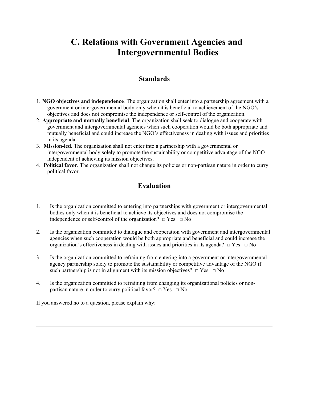# **C. Relations with Government Agencies and Intergovernmental Bodies**

### **Standards**

- 1. **NGO objectives and independence***.* The organization shall enter into a partnership agreement with a government or intergovernmental body only when it is beneficial to achievement of the NGO's objectives and does not compromise the independence or self-control of the organization.
- 2. **Appropriate and mutually beneficial***.* The organization shall seek to dialogue and cooperate with government and intergovernmental agencies when such cooperation would be both appropriate and mutually beneficial and could increase the NGO's effectiveness in dealing with issues and priorities in its agenda.
- 3. **Mission-led***.* The organization shall not enter into a partnership with a governmental or intergovernmental body solely to promote the sustainability or competitive advantage of the NGO independent of achieving its mission objectives.
- 4. **Political favor***.* The organization shall not change its policies or non-partisan nature in order to curry political favor.

### **Evaluation**

- 1. Is the organization committed to entering into partnerships with government or intergovernmental bodies only when it is beneficial to achieve its objectives and does not compromise the independence or self-control of the organization?  $\Box$  Yes  $\Box$  No
- 2. Is the organization committed to dialogue and cooperation with government and intergovernmental agencies when such cooperation would be both appropriate and beneficial and could increase the organization's effectiveness in dealing with issues and priorities in its agenda?  $\Box$  Yes  $\Box$  No
- 3. Is the organization committed to refraining from entering into a government or intergovernmental agency partnership solely to promote the sustainability or competitive advantage of the NGO if such partnership is not in alignment with its mission objectives?  $\Box$  Yes  $\Box$  No
- 4. Is the organization committed to refraining from changing its organizational policies or nonpartisan nature in order to curry political favor?  $\Box$  Yes  $\Box$  No

If you answered no to a question, please explain why:

l